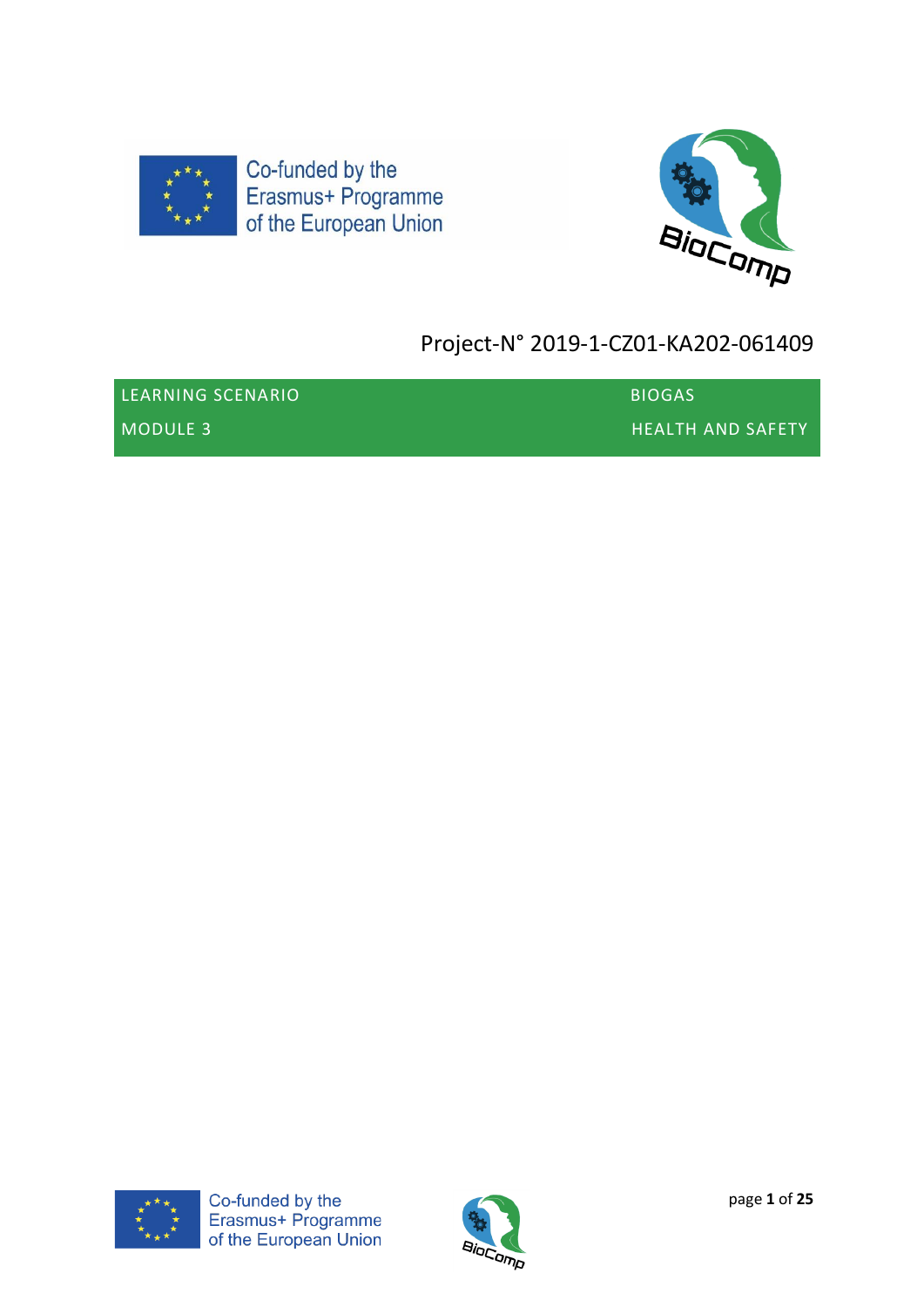



# Project-N° 2019-1-CZ01-KA202-061409

| LEARNING SCENARIO | <b>BIOGAS</b>            |
|-------------------|--------------------------|
| MODULE 3          | <b>HEALTH AND SAFETY</b> |



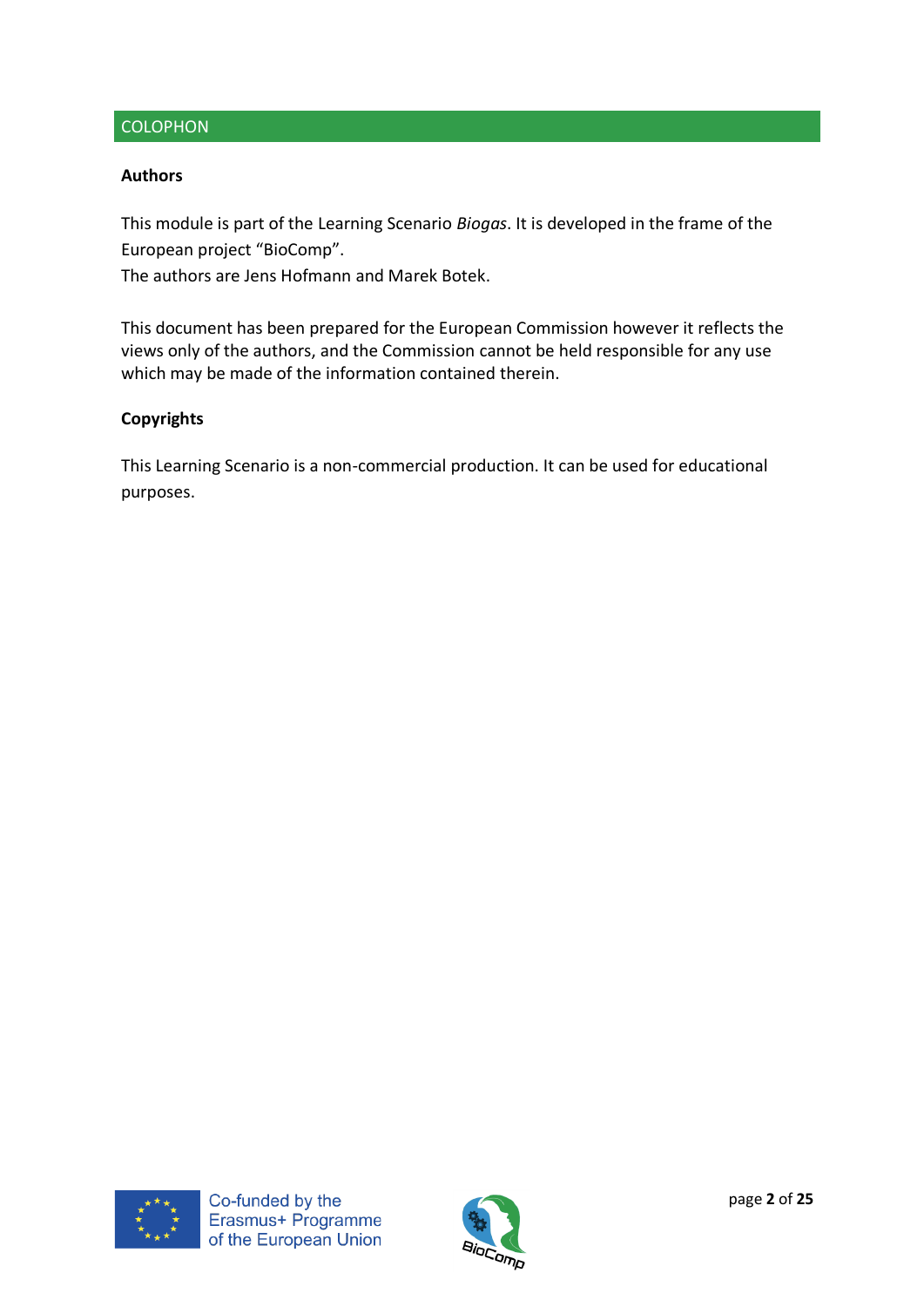## **COLOPHON**

## **Authors**

This module is part of the Learning Scenario *Biogas*. It is developed in the frame of the European project "BioComp".

The authors are Jens Hofmann and Marek Botek.

This document has been prepared for the European Commission however it reflects the views only of the authors, and the Commission cannot be held responsible for any use which may be made of the information contained therein.

## **Copyrights**

This Learning Scenario is a non-commercial production. It can be used for educational purposes.



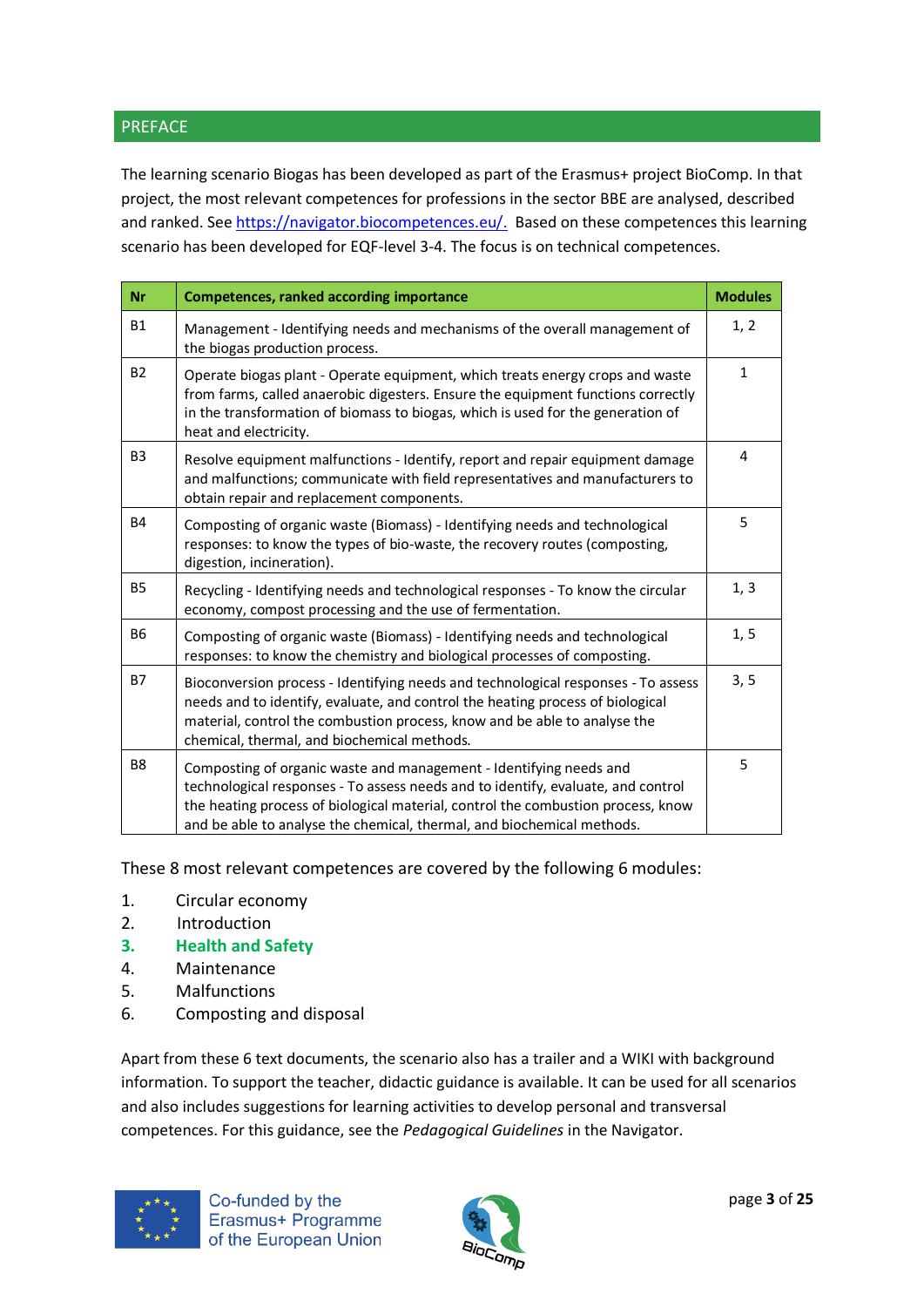## PREFACE

The learning scenario Biogas has been developed as part of the Erasmus+ project BioComp. In that project, the most relevant competences for professions in the sector BBE are analysed, described and ranked. See [https://navigator.biocompetences.eu/.](https://navigator.biocompetences.eu/) Based on these competences this learning scenario has been developed for EQF-level 3-4. The focus is on technical competences.

| <b>Nr</b>      | <b>Competences, ranked according importance</b>                                                                                                                                                                                                                                                                      | <b>Modules</b> |
|----------------|----------------------------------------------------------------------------------------------------------------------------------------------------------------------------------------------------------------------------------------------------------------------------------------------------------------------|----------------|
| <b>B1</b>      | Management - Identifying needs and mechanisms of the overall management of<br>the biogas production process.                                                                                                                                                                                                         | 1, 2           |
| <b>B2</b>      | Operate biogas plant - Operate equipment, which treats energy crops and waste<br>from farms, called anaerobic digesters. Ensure the equipment functions correctly<br>in the transformation of biomass to biogas, which is used for the generation of<br>heat and electricity.                                        | $\mathbf{1}$   |
| B <sub>3</sub> | Resolve equipment malfunctions - Identify, report and repair equipment damage<br>and malfunctions; communicate with field representatives and manufacturers to<br>obtain repair and replacement components.                                                                                                          | 4              |
| <b>B4</b>      | Composting of organic waste (Biomass) - Identifying needs and technological<br>responses: to know the types of bio-waste, the recovery routes (composting,<br>digestion, incineration).                                                                                                                              | 5              |
| <b>B5</b>      | Recycling - Identifying needs and technological responses - To know the circular<br>economy, compost processing and the use of fermentation.                                                                                                                                                                         | 1, 3           |
| <b>B6</b>      | Composting of organic waste (Biomass) - Identifying needs and technological<br>responses: to know the chemistry and biological processes of composting.                                                                                                                                                              | 1, 5           |
| <b>B7</b>      | Bioconversion process - Identifying needs and technological responses - To assess<br>needs and to identify, evaluate, and control the heating process of biological<br>material, control the combustion process, know and be able to analyse the<br>chemical, thermal, and biochemical methods.                      | 3, 5           |
| B <sub>8</sub> | Composting of organic waste and management - Identifying needs and<br>technological responses - To assess needs and to identify, evaluate, and control<br>the heating process of biological material, control the combustion process, know<br>and be able to analyse the chemical, thermal, and biochemical methods. | 5              |

These 8 most relevant competences are covered by the following 6 modules:

- 1. Circular economy
- 2. Introduction
- **3. Health and Safety**
- 4. Maintenance
- 5. Malfunctions
- 6. Composting and disposal

Apart from these 6 text documents, the scenario also has a trailer and a WIKI with background information. To support the teacher, didactic guidance is available. It can be used for all scenarios and also includes suggestions for learning activities to develop personal and transversal competences. For this guidance, see the *Pedagogical Guidelines* in the Navigator.



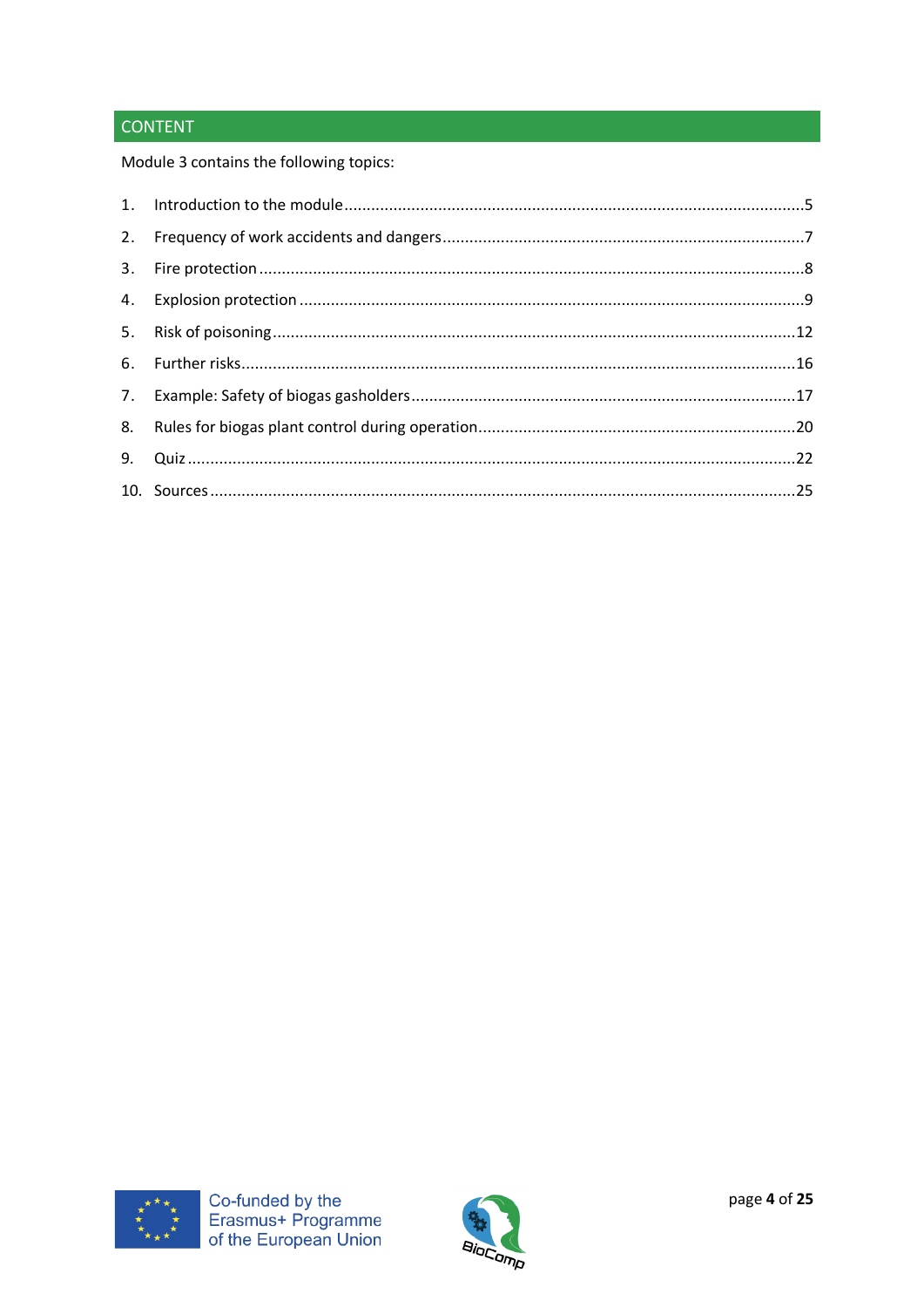## **CONTENT**

Module 3 contains the following topics:



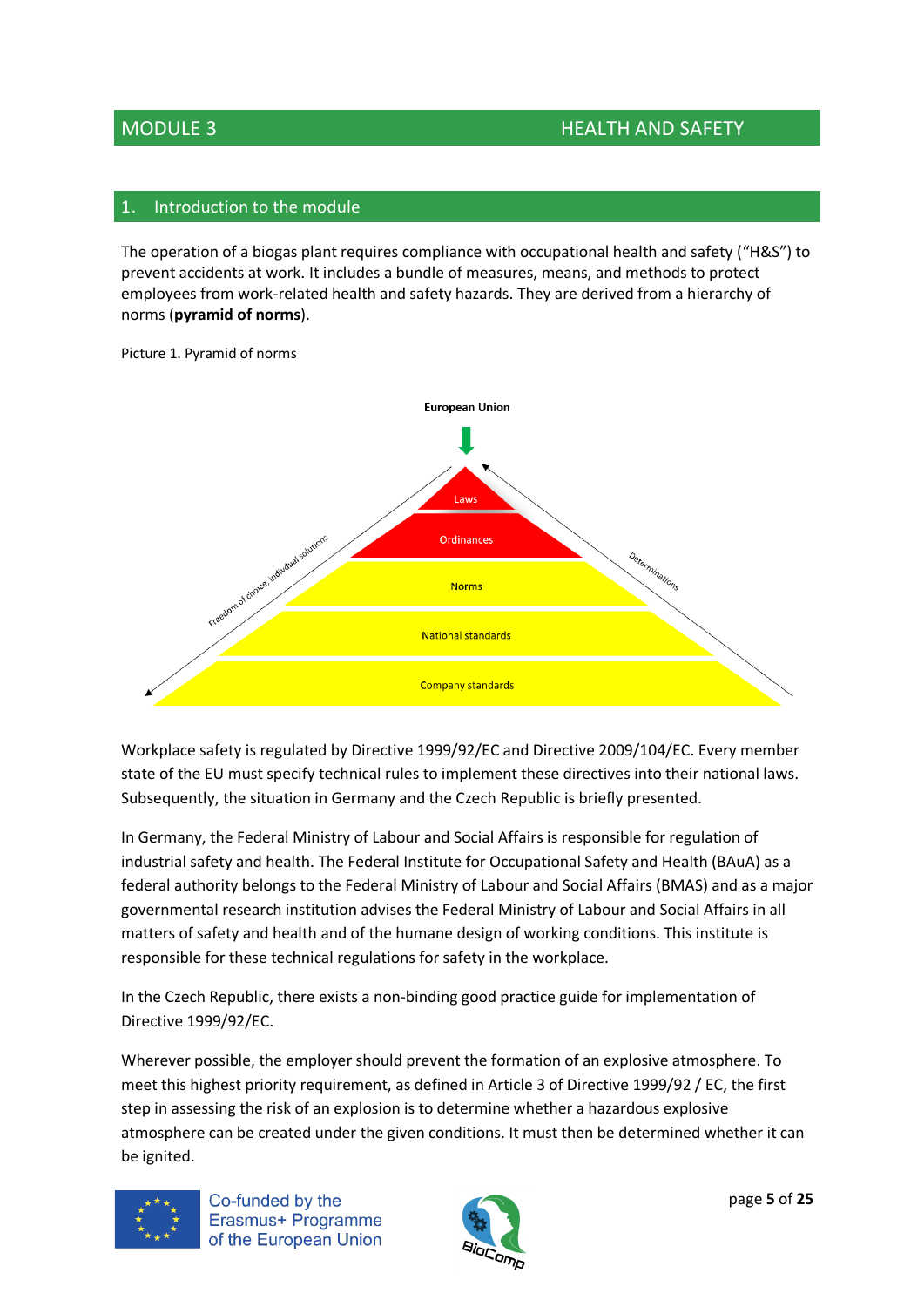## <span id="page-4-0"></span>Introduction to the module

The operation of a biogas plant requires compliance with occupational health and safety ("H&S") to prevent accidents at work. It includes a bundle of measures, means, and methods to protect employees from work-related health and safety hazards. They are derived from a hierarchy of norms (**pyramid of norms**).



Picture 1. Pyramid of norms

Workplace safety is regulated by Directive 1999/92/EC and Directive 2009/104/EC. Every member state of the EU must specify technical rules to implement these directives into their national laws. Subsequently, the situation in Germany and the Czech Republic is briefly presented.

In Germany, the Federal Ministry of Labour and Social Affairs is responsible for regulation of industrial safety and health. The Federal Institute for Occupational Safety and Health (BAuA) as a federal authority belongs to the Federal Ministry of Labour and Social Affairs (BMAS) and as a major governmental research institution advises the Federal Ministry of Labour and Social Affairs in all matters of safety and health and of the humane design of working conditions. This institute is responsible for these technical regulations for safety in the workplace.

In the Czech Republic, there exists a non-binding good practice guide for implementation of Directive 1999/92/EC.

Wherever possible, the employer should prevent the formation of an explosive atmosphere. To meet this highest priority requirement, as defined in Article 3 of Directive 1999/92 / EC, the first step in assessing the risk of an explosion is to determine whether a hazardous explosive atmosphere can be created under the given conditions. It must then be determined whether it can be ignited.



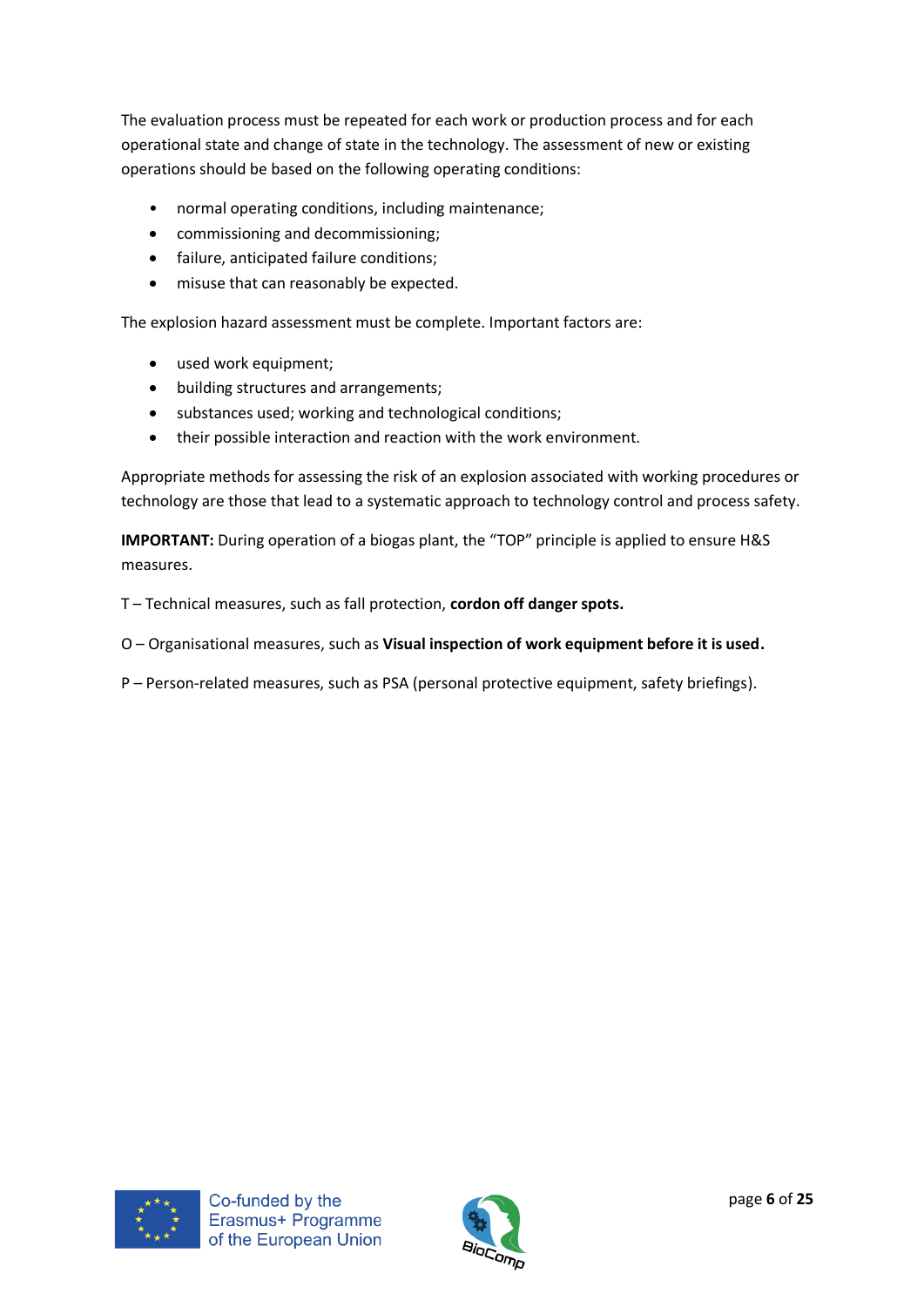The evaluation process must be repeated for each work or production process and for each operational state and change of state in the technology. The assessment of new or existing operations should be based on the following operating conditions:

- normal operating conditions, including maintenance;
- commissioning and decommissioning;
- failure, anticipated failure conditions;
- misuse that can reasonably be expected.

The explosion hazard assessment must be complete. Important factors are:

- used work equipment;
- building structures and arrangements;
- substances used; working and technological conditions;
- their possible interaction and reaction with the work environment.

Appropriate methods for assessing the risk of an explosion associated with working procedures or technology are those that lead to a systematic approach to technology control and process safety.

**IMPORTANT:** During operation of a biogas plant, the "TOP" principle is applied to ensure H&S measures.

T – Technical measures, such as fall protection, **cordon off danger spots.**

- O Organisational measures, such as **Visual inspection of work equipment before it is used.**
- P Person-related measures, such as PSA (personal protective equipment, safety briefings).



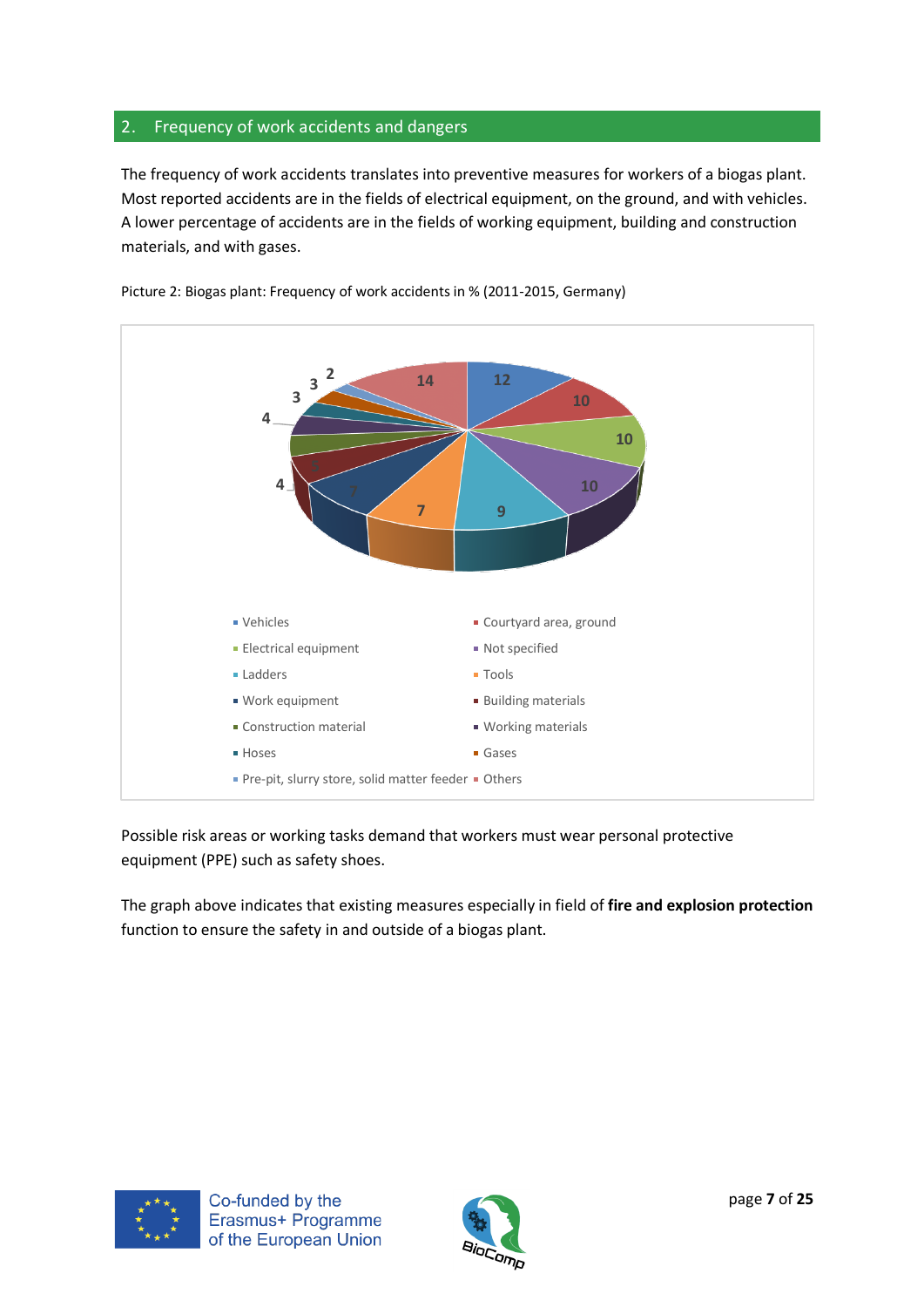## <span id="page-6-0"></span>2. Frequency of work accidents and dangers

The frequency of work accidents translates into preventive measures for workers of a biogas plant. Most reported accidents are in the fields of electrical equipment, on the ground, and with vehicles. A lower percentage of accidents are in the fields of working equipment, building and construction materials, and with gases.



Picture 2: Biogas plant: Frequency of work accidents in % (2011-2015, Germany)

Possible risk areas or working tasks demand that workers must wear personal protective equipment (PPE) such as safety shoes.

The graph above indicates that existing measures especially in field of **fire and explosion protection** function to ensure the safety in and outside of a biogas plant.



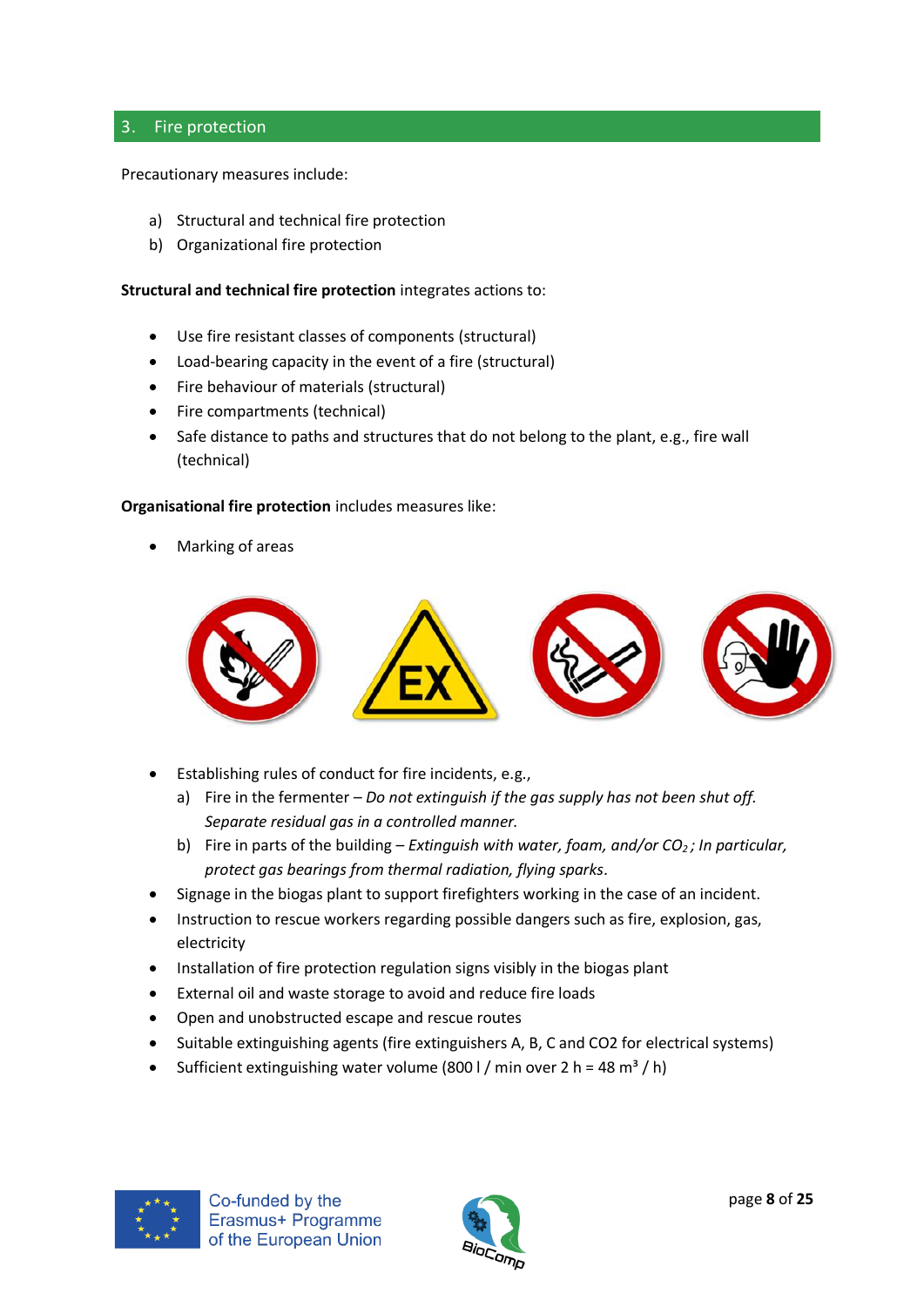## <span id="page-7-0"></span>3. Fire protection

Precautionary measures include:

- a) Structural and technical fire protection
- b) Organizational fire protection

**Structural and technical fire protection** integrates actions to:

- Use fire resistant classes of components (structural)
- Load-bearing capacity in the event of a fire (structural)
- Fire behaviour of materials (structural)
- Fire compartments (technical)
- Safe distance to paths and structures that do not belong to the plant, e.g., fire wall (technical)

## **Organisational fire protection** includes measures like:

• Marking of areas



- Establishing rules of conduct for fire incidents, e.g.,
	- a) Fire in the fermenter *– Do not extinguish if the gas supply has not been shut off. Separate residual gas in a controlled manner.*
	- b) Fire in parts of the building *Extinguish with water, foam, and/or CO2 ; In particular, protect gas bearings from thermal radiation, flying sparks.*
- Signage in the biogas plant to support firefighters working in the case of an incident.
- Instruction to rescue workers regarding possible dangers such as fire, explosion, gas, electricity
- Installation of fire protection regulation signs visibly in the biogas plant
- External oil and waste storage to avoid and reduce fire loads
- Open and unobstructed escape and rescue routes
- Suitable extinguishing agents (fire extinguishers A, B, C and CO2 for electrical systems)
- Sufficient extinguishing water volume (800 l / min over 2 h = 48 m<sup>3</sup> / h)



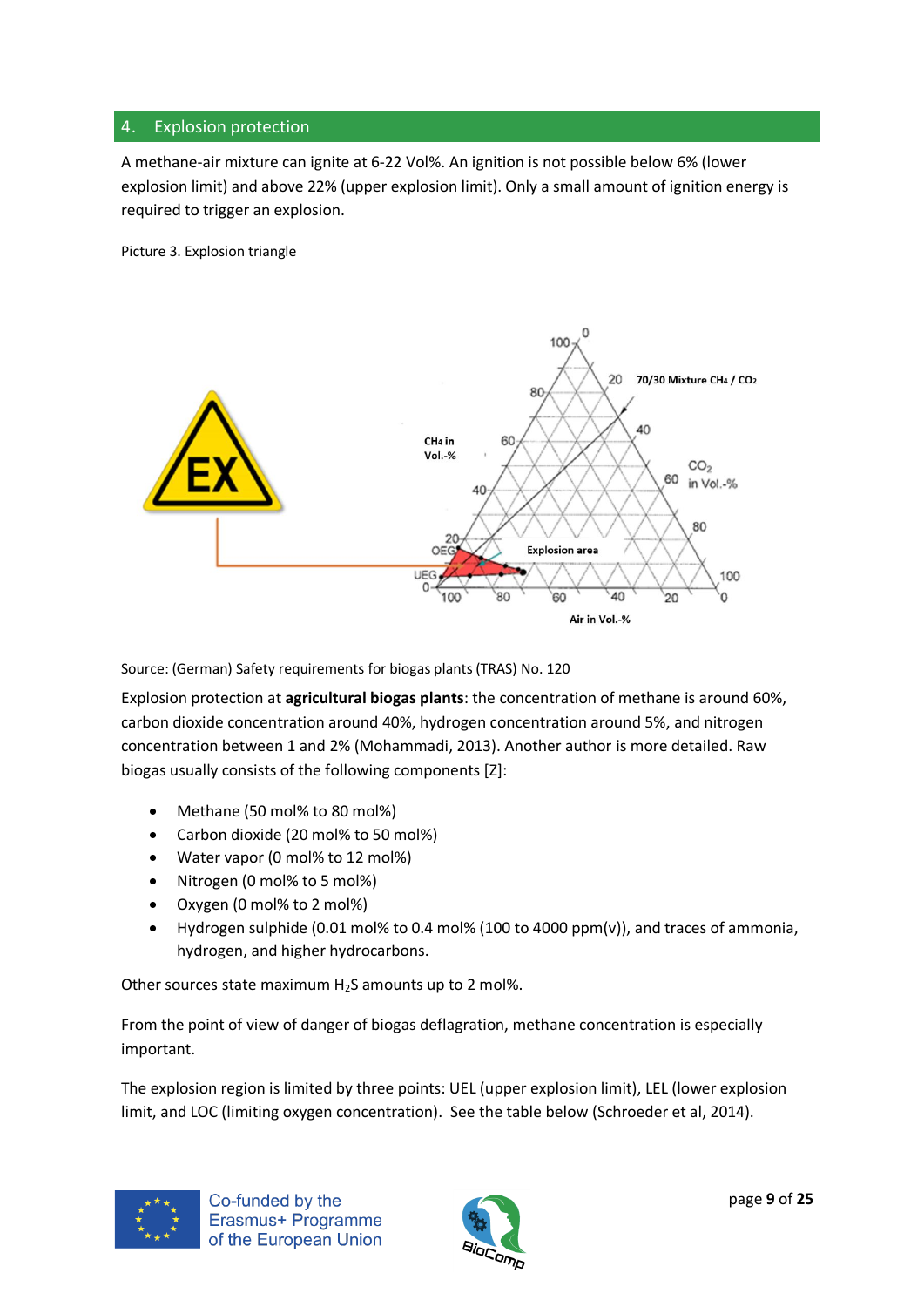## <span id="page-8-0"></span>4. Explosion protection

A methane-air mixture can ignite at 6-22 Vol%. An ignition is not possible below 6% (lower explosion limit) and above 22% (upper explosion limit). Only a small amount of ignition energy is required to trigger an explosion.

Picture 3. Explosion triangle



Source: (German) Safety requirements for biogas plants (TRAS) No. 120

Explosion protection at **agricultural biogas plants**: the concentration of methane is around 60%, carbon dioxide concentration around 40%, hydrogen concentration around 5%, and nitrogen concentration between 1 and 2% (Mohammadi, 2013). Another author is more detailed. Raw biogas usually consists of the following components [Z]:

- Methane (50 mol% to 80 mol%)
- Carbon dioxide (20 mol% to 50 mol%)
- Water vapor (0 mol% to 12 mol%)
- Nitrogen (0 mol% to 5 mol%)
- Oxygen (0 mol% to 2 mol%)
- Hydrogen sulphide (0.01 mol% to 0.4 mol% (100 to 4000 ppm(v)), and traces of ammonia, hydrogen, and higher hydrocarbons.

Other sources state maximum  $H_2S$  amounts up to 2 mol%.

From the point of view of danger of biogas deflagration, methane concentration is especially important.

The explosion region is limited by three points: UEL (upper explosion limit), LEL (lower explosion limit, and LOC (limiting oxygen concentration). See the table below (Schroeder et al, 2014).



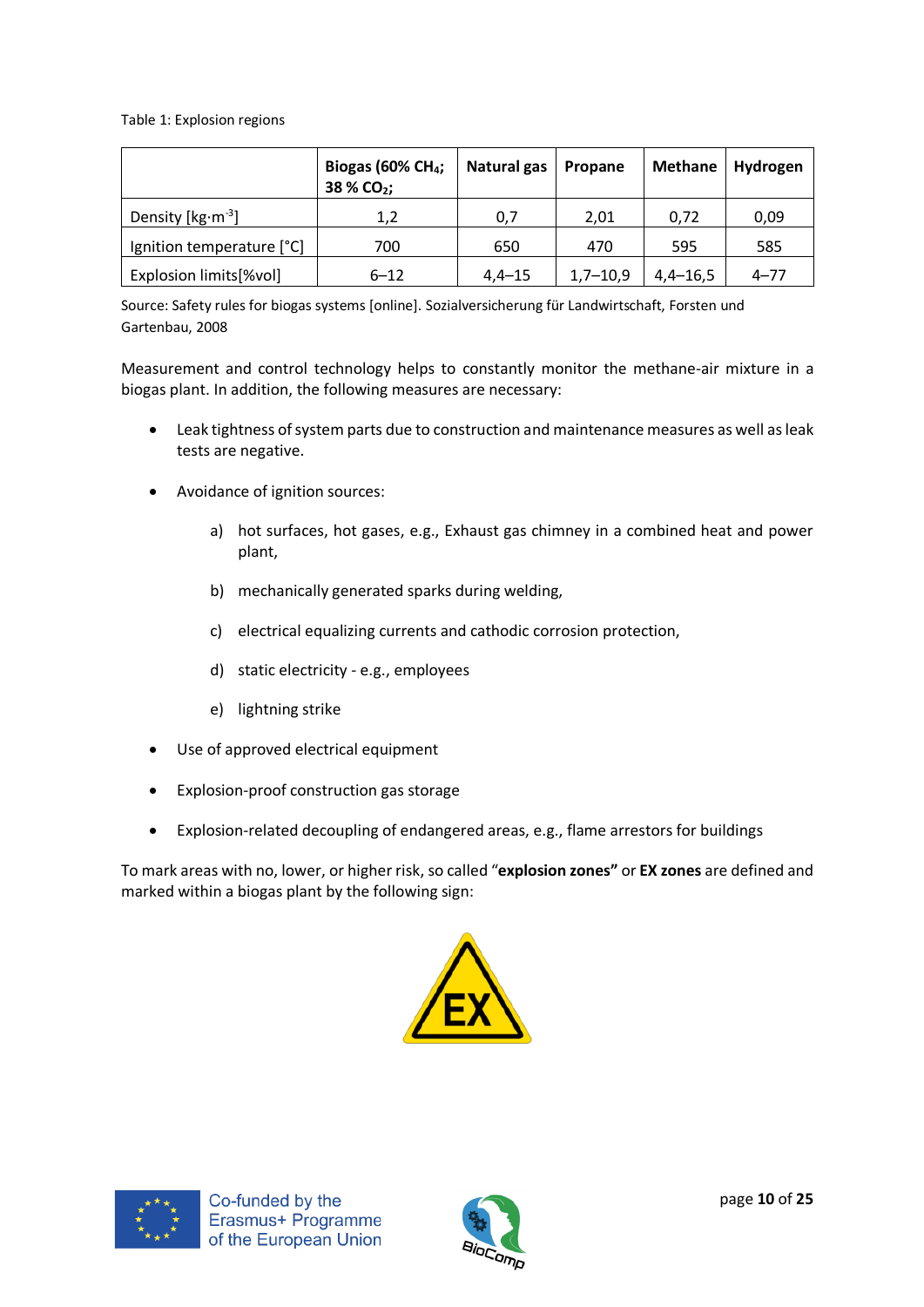Table 1: Explosion regions

|                           | Biogas (60% CH <sub>4</sub> ;<br>38 % CO <sub>2</sub> ; | Natural gas | Propane      | Methane      | <b>Hydrogen</b> |
|---------------------------|---------------------------------------------------------|-------------|--------------|--------------|-----------------|
| Density [ $kg·m-3$ ]      | 1,2                                                     | 0,7         | 2,01         | 0.72         | 0,09            |
| Ignition temperature [°C] | 700                                                     | 650         | 470          | 595          | 585             |
| Explosion limits[%vol]    | $6 - 12$                                                | $4,4 - 15$  | $1,7 - 10,9$ | $4,4 - 16,5$ | $4 - 77$        |

Source: Safety rules for biogas systems [online]. Sozialversicherung für Landwirtschaft, Forsten und Gartenbau, 2008

Measurement and control technology helps to constantly monitor the methane-air mixture in a biogas plant. In addition, the following measures are necessary:

- Leak tightness of system parts due to construction and maintenance measures as well as leak tests are negative.
- Avoidance of ignition sources:
	- a) hot surfaces, hot gases, e.g., Exhaust gas chimney in a combined heat and power plant,
	- b) mechanically generated sparks during welding,
	- c) electrical equalizing currents and cathodic corrosion protection,
	- d) static electricity e.g., employees
	- e) lightning strike
- Use of approved electrical equipment
- Explosion-proof construction gas storage
- Explosion-related decoupling of endangered areas, e.g., flame arrestors for buildings

To mark areas with no, lower, or higher risk, so called "**explosion zones"** or **EX zones** are defined and marked within a biogas plant by the following sign:





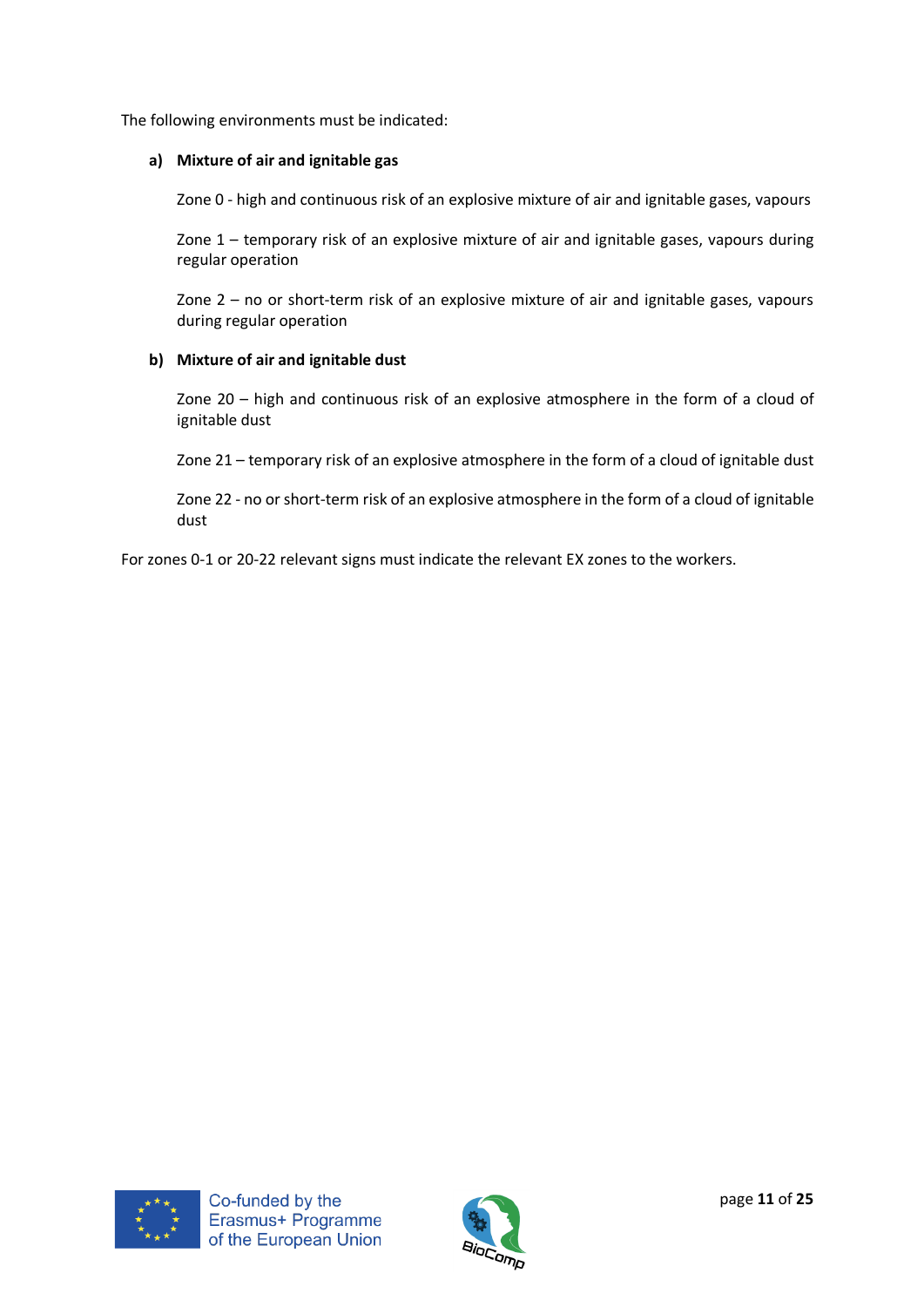The following environments must be indicated:

## **a) Mixture of air and ignitable gas**

Zone 0 - high and continuous risk of an explosive mixture of air and ignitable gases, vapours

Zone 1 – temporary risk of an explosive mixture of air and ignitable gases, vapours during regular operation

Zone 2 – no or short-term risk of an explosive mixture of air and ignitable gases, vapours during regular operation

## **b) Mixture of air and ignitable dust**

Zone 20 – high and continuous risk of an explosive atmosphere in the form of a cloud of ignitable dust

Zone 21 – temporary risk of an explosive atmosphere in the form of a cloud of ignitable dust

Zone 22 - no or short-term risk of an explosive atmosphere in the form of a cloud of ignitable dust

For zones 0-1 or 20-22 relevant signs must indicate the relevant EX zones to the workers.



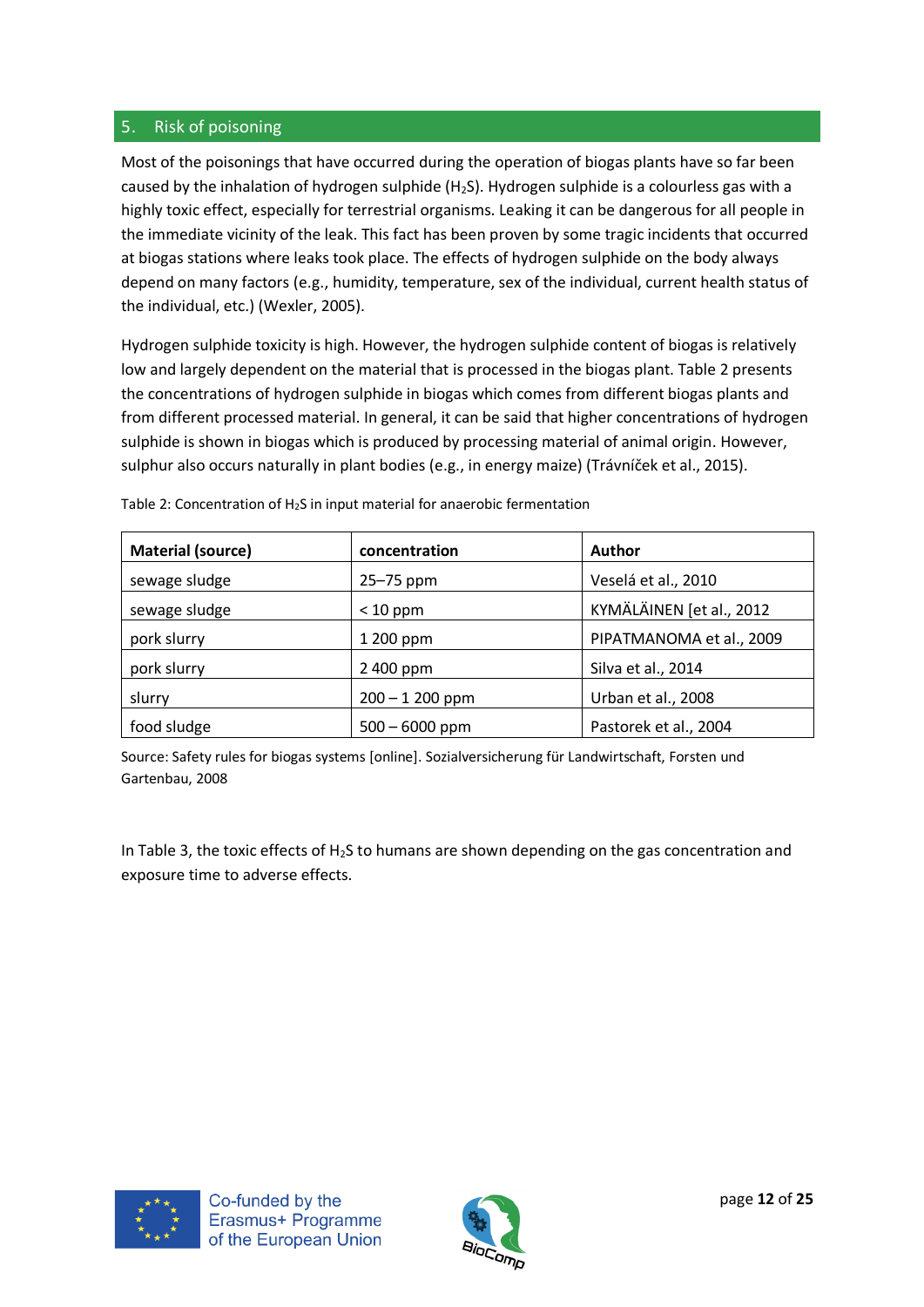## <span id="page-11-0"></span>5. Risk of poisoning

Most of the poisonings that have occurred during the operation of biogas plants have so far been caused by the inhalation of hydrogen sulphide (H<sub>2</sub>S). Hydrogen sulphide is a colourless gas with a highly toxic effect, especially for terrestrial organisms. Leaking it can be dangerous for all people in the immediate vicinity of the leak. This fact has been proven by some tragic incidents that occurred at biogas stations where leaks took place. The effects of hydrogen sulphide on the body always depend on many factors (e.g., humidity, temperature, sex of the individual, current health status of the individual, etc.) (Wexler, 2005).

Hydrogen sulphide toxicity is high. However, the hydrogen sulphide content of biogas is relatively low and largely dependent on the material that is processed in the biogas plant. Table 2 presents the concentrations of hydrogen sulphide in biogas which comes from different biogas plants and from different processed material. In general, it can be said that higher concentrations of hydrogen sulphide is shown in biogas which is produced by processing material of animal origin. However, sulphur also occurs naturally in plant bodies (e.g., in energy maize) (Trávníček et al., 2015).

| <b>Material (source)</b> | concentration    | <b>Author</b>            |
|--------------------------|------------------|--------------------------|
| sewage sludge            | 25-75 ppm        | Veselá et al., 2010      |
| sewage sludge            | $< 10$ ppm       | KYMÄLÄINEN [et al., 2012 |
| pork slurry              | 1 200 ppm        | PIPATMANOMA et al., 2009 |
| pork slurry              | 2 400 ppm        | Silva et al., 2014       |
| slurry                   | $200 - 1200$ ppm | Urban et al., 2008       |
| food sludge              | $500 - 6000$ ppm | Pastorek et al., 2004    |

Table 2: Concentration of H2S in input material for anaerobic fermentation

Source: Safety rules for biogas systems [online]. Sozialversicherung für Landwirtschaft, Forsten und Gartenbau, 2008

In Table 3, the toxic effects of  $H_2S$  to humans are shown depending on the gas concentration and exposure time to adverse effects.



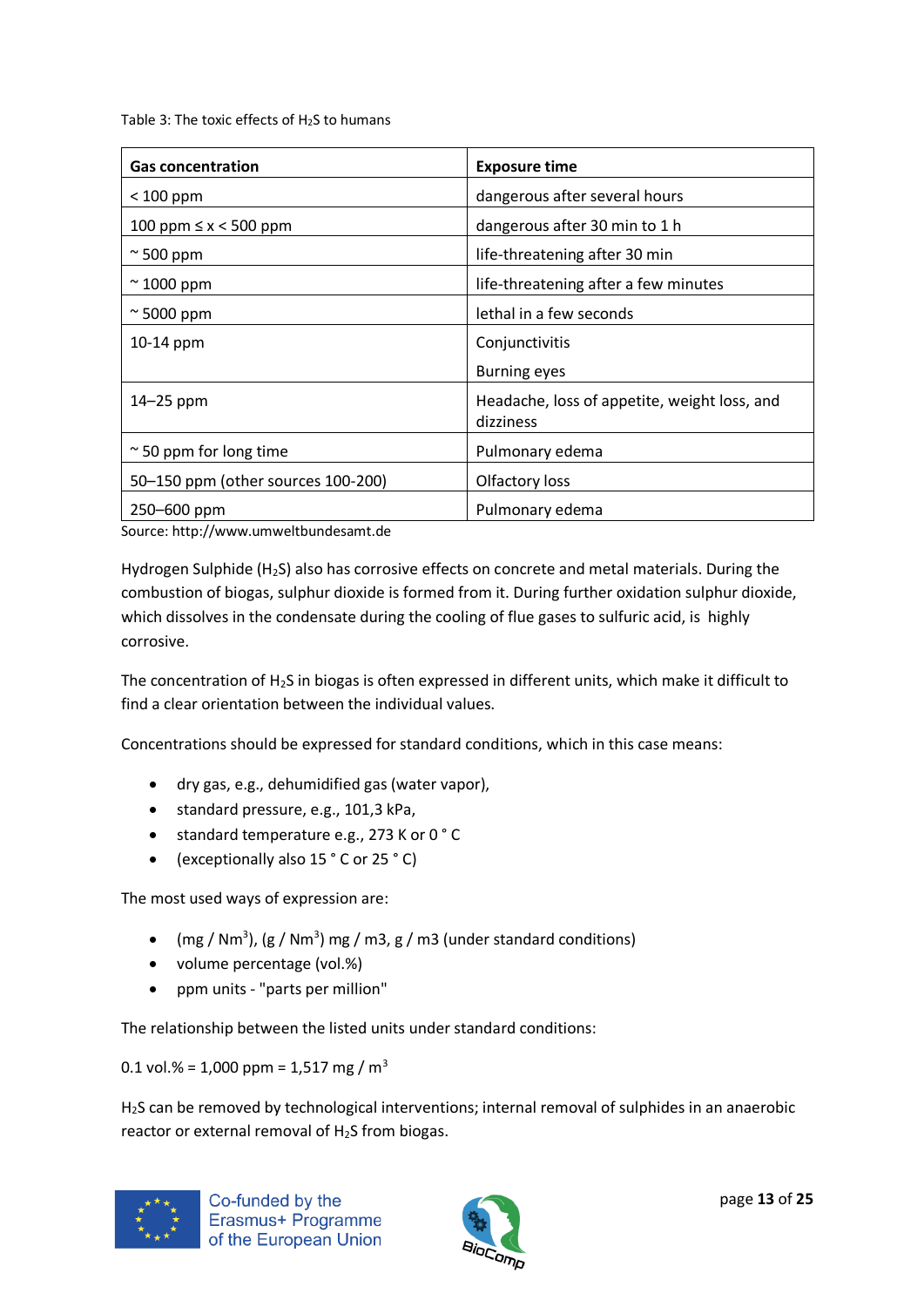Table 3: The toxic effects of H<sub>2</sub>S to humans

| <b>Gas concentration</b>           | <b>Exposure time</b>                                      |
|------------------------------------|-----------------------------------------------------------|
| $< 100$ ppm                        | dangerous after several hours                             |
| 100 ppm ≤ x < 500 ppm              | dangerous after 30 min to 1 h                             |
| $\approx$ 500 ppm                  | life-threatening after 30 min                             |
| $\approx$ 1000 ppm                 | life-threatening after a few minutes                      |
| $\approx$ 5000 ppm                 | lethal in a few seconds                                   |
| 10-14 ppm                          | Conjunctivitis                                            |
|                                    | <b>Burning eyes</b>                                       |
| $14-25$ ppm                        | Headache, loss of appetite, weight loss, and<br>dizziness |
| $\approx$ 50 ppm for long time     | Pulmonary edema                                           |
| 50-150 ppm (other sources 100-200) | Olfactory loss                                            |
| 250-600 ppm                        | Pulmonary edema                                           |

Source: http://www.umweltbundesamt.de

Hydrogen Sulphide (H2S) also has corrosive effects on concrete and metal materials. During the combustion of biogas, sulphur dioxide is formed from it. During further oxidation sulphur dioxide, which dissolves in the condensate during the cooling of flue gases to sulfuric acid, is highly corrosive.

The concentration of  $H_2S$  in biogas is often expressed in different units, which make it difficult to find a clear orientation between the individual values.

Concentrations should be expressed for standard conditions, which in this case means:

- dry gas, e.g., dehumidified gas (water vapor),
- standard pressure, e.g., 101,3 kPa,
- standard temperature e.g., 273 K or 0 ° C
- (exceptionally also 15 ° C or 25 ° C)

The most used ways of expression are:

- (mg / Nm<sup>3</sup>), (g / Nm<sup>3</sup>) mg / m3, g / m3 (under standard conditions)
- volume percentage (vol.%)
- ppm units "parts per million"

The relationship between the listed units under standard conditions:

0.1 vol.% = 1,000 ppm = 1,517 mg /  $m<sup>3</sup>$ 

H<sub>2</sub>S can be removed by technological interventions; internal removal of sulphides in an anaerobic reactor or external removal of  $H_2S$  from biogas.



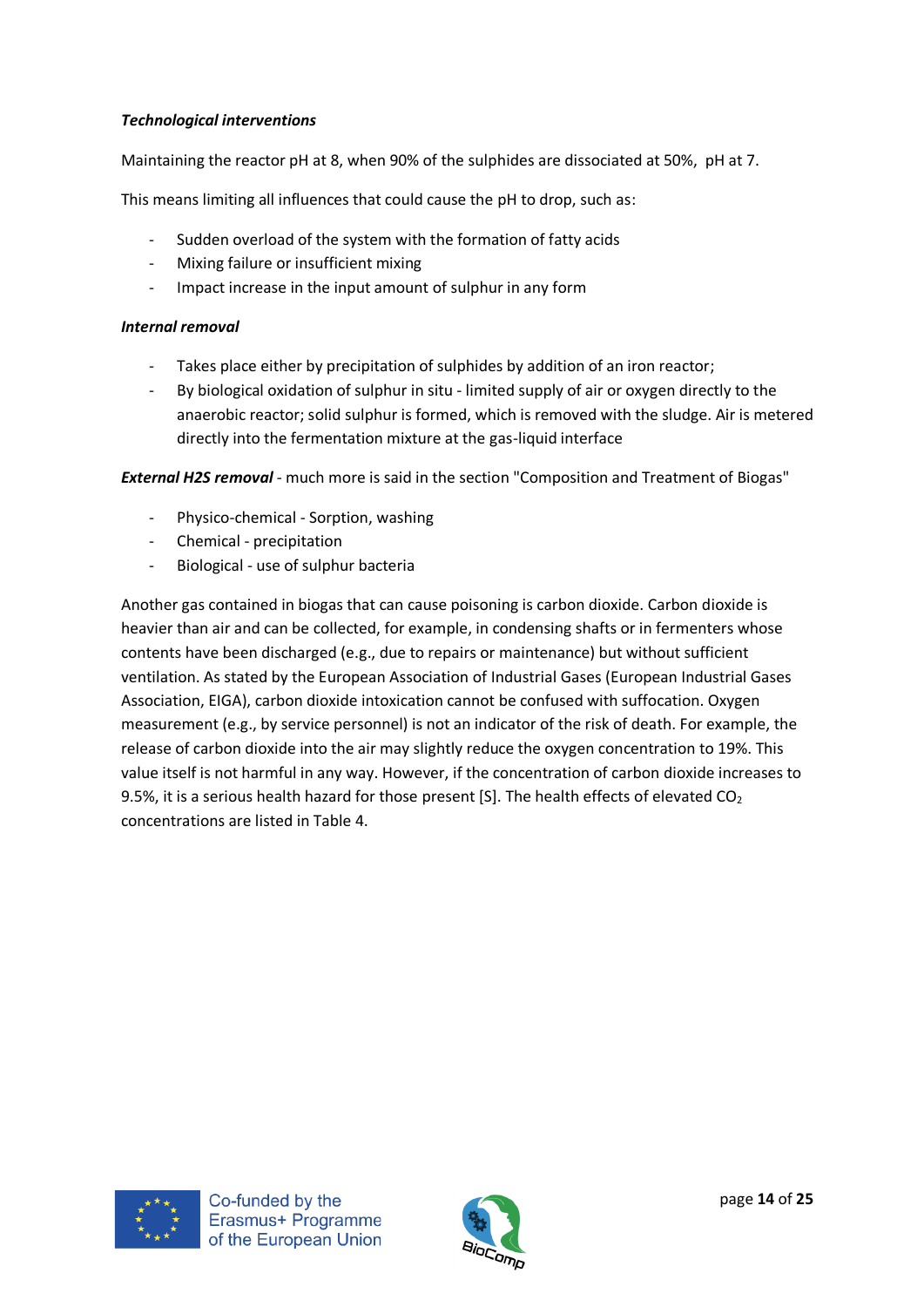## *Technological interventions*

Maintaining the reactor pH at 8, when 90% of the sulphides are dissociated at 50%, pH at 7.

This means limiting all influences that could cause the pH to drop, such as:

- Sudden overload of the system with the formation of fatty acids
- Mixing failure or insufficient mixing
- Impact increase in the input amount of sulphur in any form

## *Internal removal*

- Takes place either by precipitation of sulphides by addition of an iron reactor;
- By biological oxidation of sulphur in situ limited supply of air or oxygen directly to the anaerobic reactor; solid sulphur is formed, which is removed with the sludge. Air is metered directly into the fermentation mixture at the gas-liquid interface

*External H2S removal* - much more is said in the section "Composition and Treatment of Biogas"

- Physico-chemical Sorption, washing
- Chemical precipitation
- Biological use of sulphur bacteria

Another gas contained in biogas that can cause poisoning is carbon dioxide. Carbon dioxide is heavier than air and can be collected, for example, in condensing shafts or in fermenters whose contents have been discharged (e.g., due to repairs or maintenance) but without sufficient ventilation. As stated by the European Association of Industrial Gases (European Industrial Gases Association, EIGA), carbon dioxide intoxication cannot be confused with suffocation. Oxygen measurement (e.g., by service personnel) is not an indicator of the risk of death. For example, the release of carbon dioxide into the air may slightly reduce the oxygen concentration to 19%. This value itself is not harmful in any way. However, if the concentration of carbon dioxide increases to 9.5%, it is a serious health hazard for those present [S]. The health effects of elevated  $CO<sub>2</sub>$ concentrations are listed in Table 4.



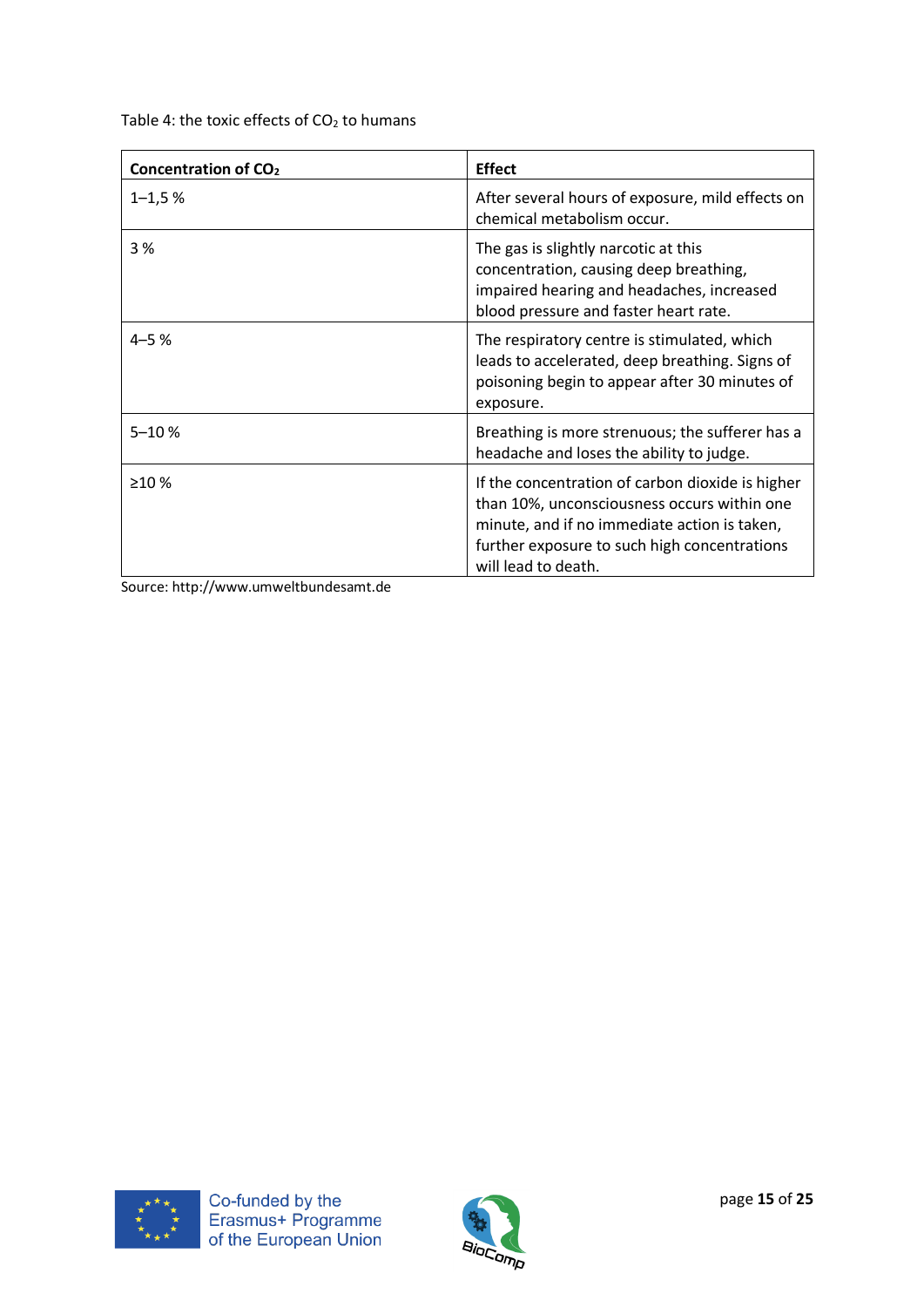Table 4: the toxic effects of  $CO<sub>2</sub>$  to humans

| Concentration of CO <sub>2</sub> | <b>Effect</b>                                                                                                                                                                                                          |
|----------------------------------|------------------------------------------------------------------------------------------------------------------------------------------------------------------------------------------------------------------------|
| $1 - 1.5%$                       | After several hours of exposure, mild effects on<br>chemical metabolism occur.                                                                                                                                         |
| 3 %                              | The gas is slightly narcotic at this<br>concentration, causing deep breathing,<br>impaired hearing and headaches, increased<br>blood pressure and faster heart rate.                                                   |
| $4 - 5%$                         | The respiratory centre is stimulated, which<br>leads to accelerated, deep breathing. Signs of<br>poisoning begin to appear after 30 minutes of<br>exposure.                                                            |
| $5 - 10%$                        | Breathing is more strenuous; the sufferer has a<br>headache and loses the ability to judge.                                                                                                                            |
| $\geq 10 \%$                     | If the concentration of carbon dioxide is higher<br>than 10%, unconsciousness occurs within one<br>minute, and if no immediate action is taken,<br>further exposure to such high concentrations<br>will lead to death. |

Source: http://www.umweltbundesamt.de



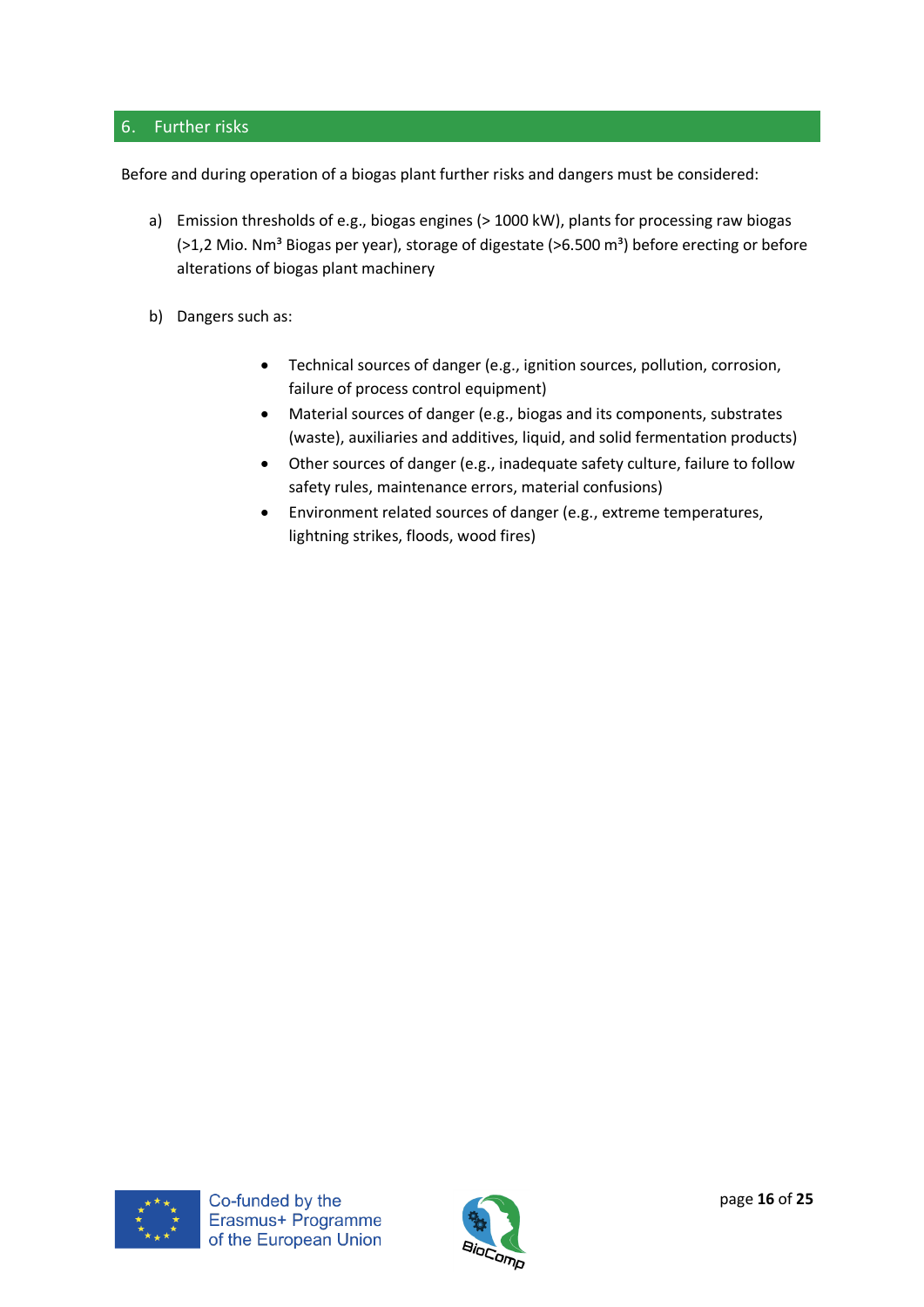## <span id="page-15-0"></span>6. Further risks

Before and during operation of a biogas plant further risks and dangers must be considered:

- a) Emission thresholds of e.g., biogas engines (> 1000 kW), plants for processing raw biogas (>1,2 Mio. Nm<sup>3</sup> Biogas per year), storage of digestate (>6.500 m<sup>3</sup>) before erecting or before alterations of biogas plant machinery
- b) Dangers such as:
	- Technical sources of danger (e.g., ignition sources, pollution, corrosion, failure of process control equipment)
	- Material sources of danger (e.g., biogas and its components, substrates (waste), auxiliaries and additives, liquid, and solid fermentation products)
	- Other sources of danger (e.g., inadequate safety culture, failure to follow safety rules, maintenance errors, material confusions)
	- Environment related sources of danger (e.g., extreme temperatures, lightning strikes, floods, wood fires)



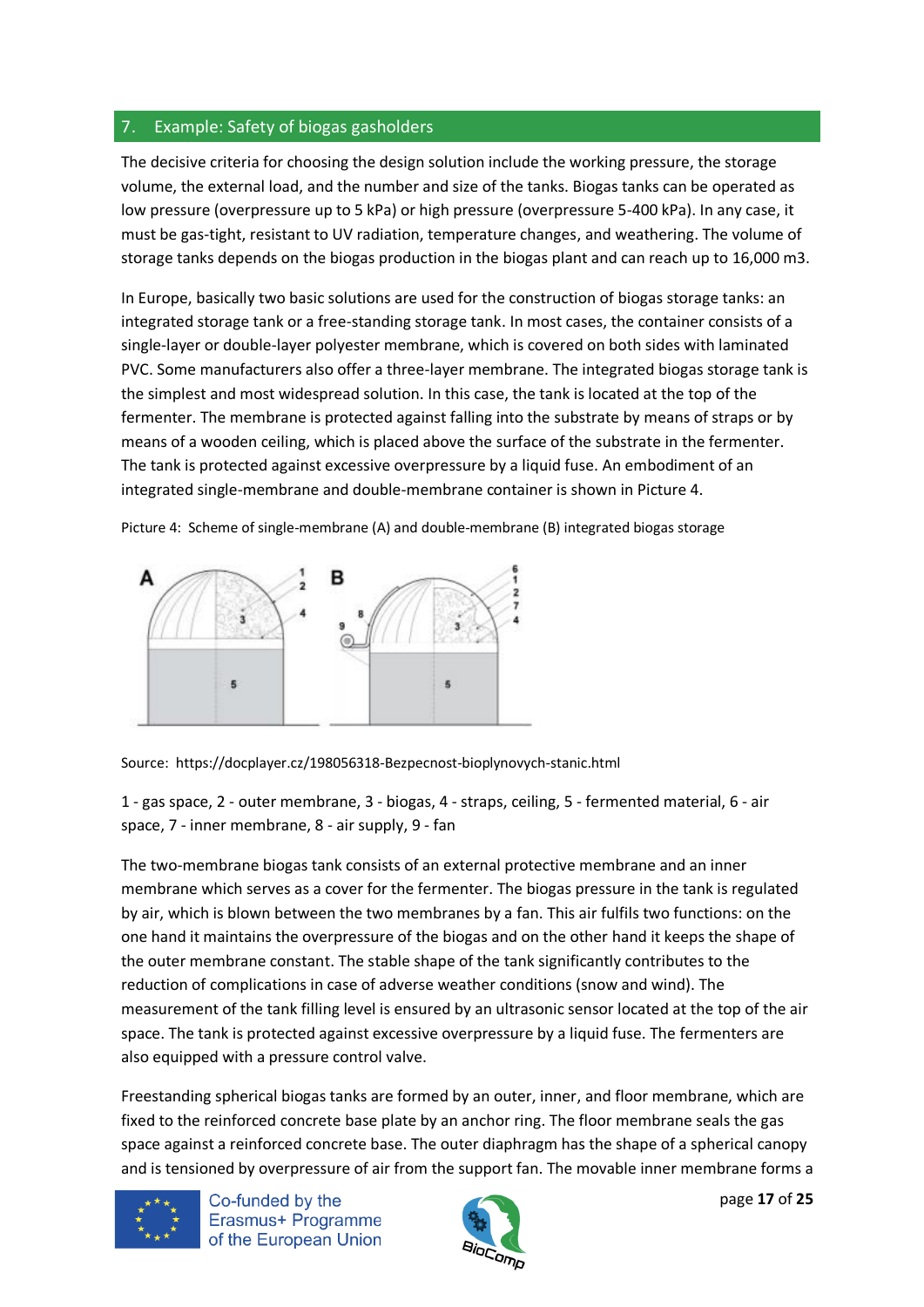## <span id="page-16-0"></span>7. Example: Safety of biogas gasholders

The decisive criteria for choosing the design solution include the working pressure, the storage volume, the external load, and the number and size of the tanks. Biogas tanks can be operated as low pressure (overpressure up to 5 kPa) or high pressure (overpressure 5-400 kPa). In any case, it must be gas-tight, resistant to UV radiation, temperature changes, and weathering. The volume of storage tanks depends on the biogas production in the biogas plant and can reach up to 16,000 m3.

In Europe, basically two basic solutions are used for the construction of biogas storage tanks: an integrated storage tank or a free-standing storage tank. In most cases, the container consists of a single-layer or double-layer polyester membrane, which is covered on both sides with laminated PVC. Some manufacturers also offer a three-layer membrane. The integrated biogas storage tank is the simplest and most widespread solution. In this case, the tank is located at the top of the fermenter. The membrane is protected against falling into the substrate by means of straps or by means of a wooden ceiling, which is placed above the surface of the substrate in the fermenter. The tank is protected against excessive overpressure by a liquid fuse. An embodiment of an integrated single-membrane and double-membrane container is shown in Picture 4.

Picture 4: Scheme of single-membrane (A) and double-membrane (B) integrated biogas storage



Source: https://docplayer.cz/198056318-Bezpecnost-bioplynovych-stanic.html

1 - gas space, 2 - outer membrane, 3 - biogas, 4 - straps, ceiling, 5 - fermented material, 6 - air space, 7 - inner membrane, 8 - air supply, 9 - fan

The two-membrane biogas tank consists of an external protective membrane and an inner membrane which serves as a cover for the fermenter. The biogas pressure in the tank is regulated by air, which is blown between the two membranes by a fan. This air fulfils two functions: on the one hand it maintains the overpressure of the biogas and on the other hand it keeps the shape of the outer membrane constant. The stable shape of the tank significantly contributes to the reduction of complications in case of adverse weather conditions (snow and wind). The measurement of the tank filling level is ensured by an ultrasonic sensor located at the top of the air space. The tank is protected against excessive overpressure by a liquid fuse. The fermenters are also equipped with a pressure control valve.

Freestanding spherical biogas tanks are formed by an outer, inner, and floor membrane, which are fixed to the reinforced concrete base plate by an anchor ring. The floor membrane seals the gas space against a reinforced concrete base. The outer diaphragm has the shape of a spherical canopy and is tensioned by overpressure of air from the support fan. The movable inner membrane forms a



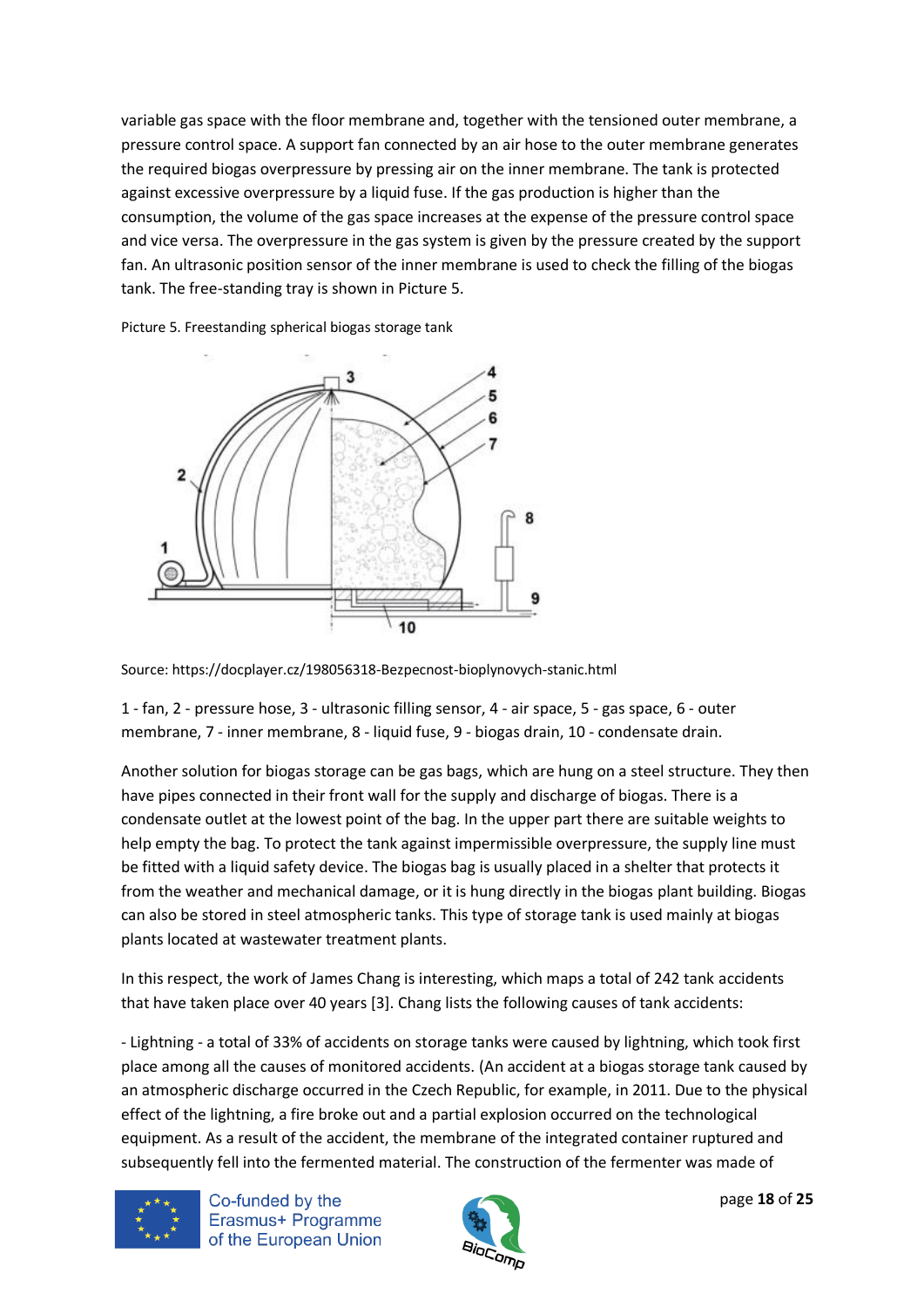variable gas space with the floor membrane and, together with the tensioned outer membrane, a pressure control space. A support fan connected by an air hose to the outer membrane generates the required biogas overpressure by pressing air on the inner membrane. The tank is protected against excessive overpressure by a liquid fuse. If the gas production is higher than the consumption, the volume of the gas space increases at the expense of the pressure control space and vice versa. The overpressure in the gas system is given by the pressure created by the support fan. An ultrasonic position sensor of the inner membrane is used to check the filling of the biogas tank. The free-standing tray is shown in Picture 5.

Picture 5. Freestanding spherical biogas storage tank



Source: https://docplayer.cz/198056318-Bezpecnost-bioplynovych-stanic.html

1 - fan, 2 - pressure hose, 3 - ultrasonic filling sensor, 4 - air space, 5 - gas space, 6 - outer membrane, 7 - inner membrane, 8 - liquid fuse, 9 - biogas drain, 10 - condensate drain.

Another solution for biogas storage can be gas bags, which are hung on a steel structure. They then have pipes connected in their front wall for the supply and discharge of biogas. There is a condensate outlet at the lowest point of the bag. In the upper part there are suitable weights to help empty the bag. To protect the tank against impermissible overpressure, the supply line must be fitted with a liquid safety device. The biogas bag is usually placed in a shelter that protects it from the weather and mechanical damage, or it is hung directly in the biogas plant building. Biogas can also be stored in steel atmospheric tanks. This type of storage tank is used mainly at biogas plants located at wastewater treatment plants.

In this respect, the work of James Chang is interesting, which maps a total of 242 tank accidents that have taken place over 40 years [3]. Chang lists the following causes of tank accidents:

- Lightning - a total of 33% of accidents on storage tanks were caused by lightning, which took first place among all the causes of monitored accidents. (An accident at a biogas storage tank caused by an atmospheric discharge occurred in the Czech Republic, for example, in 2011. Due to the physical effect of the lightning, a fire broke out and a partial explosion occurred on the technological equipment. As a result of the accident, the membrane of the integrated container ruptured and subsequently fell into the fermented material. The construction of the fermenter was made of



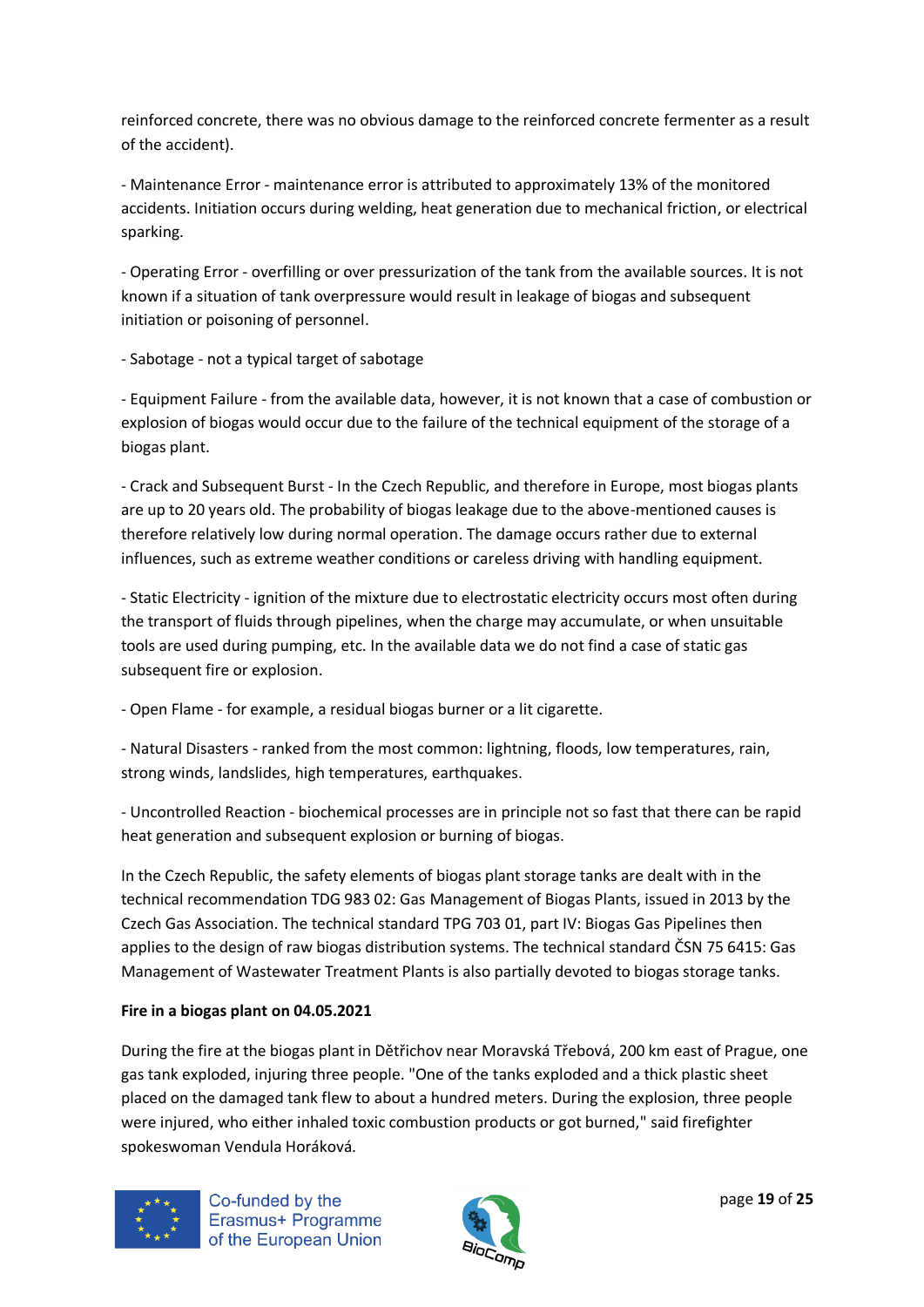reinforced concrete, there was no obvious damage to the reinforced concrete fermenter as a result of the accident).

- Maintenance Error - maintenance error is attributed to approximately 13% of the monitored accidents. Initiation occurs during welding, heat generation due to mechanical friction, or electrical sparking.

- Operating Error - overfilling or over pressurization of the tank from the available sources. It is not known if a situation of tank overpressure would result in leakage of biogas and subsequent initiation or poisoning of personnel.

- Sabotage - not a typical target of sabotage

- Equipment Failure - from the available data, however, it is not known that a case of combustion or explosion of biogas would occur due to the failure of the technical equipment of the storage of a biogas plant.

- Crack and Subsequent Burst - In the Czech Republic, and therefore in Europe, most biogas plants are up to 20 years old. The probability of biogas leakage due to the above-mentioned causes is therefore relatively low during normal operation. The damage occurs rather due to external influences, such as extreme weather conditions or careless driving with handling equipment.

- Static Electricity - ignition of the mixture due to electrostatic electricity occurs most often during the transport of fluids through pipelines, when the charge may accumulate, or when unsuitable tools are used during pumping, etc. In the available data we do not find a case of static gas subsequent fire or explosion.

- Open Flame - for example, a residual biogas burner or a lit cigarette.

- Natural Disasters - ranked from the most common: lightning, floods, low temperatures, rain, strong winds, landslides, high temperatures, earthquakes.

- Uncontrolled Reaction - biochemical processes are in principle not so fast that there can be rapid heat generation and subsequent explosion or burning of biogas.

In the Czech Republic, the safety elements of biogas plant storage tanks are dealt with in the technical recommendation TDG 983 02: Gas Management of Biogas Plants, issued in 2013 by the Czech Gas Association. The technical standard TPG 703 01, part IV: Biogas Gas Pipelines then applies to the design of raw biogas distribution systems. The technical standard ČSN 75 6415: Gas Management of Wastewater Treatment Plants is also partially devoted to biogas storage tanks.

## **Fire in a biogas plant on 04.05.2021**

During the fire at the biogas plant in Dětřichov near Moravská Třebová, 200 km east of Prague, one gas tank exploded, injuring three people. "One of the tanks exploded and a thick plastic sheet placed on the damaged tank flew to about a hundred meters. During the explosion, three people were injured, who either inhaled toxic combustion products or got burned," said firefighter spokeswoman Vendula Horáková.



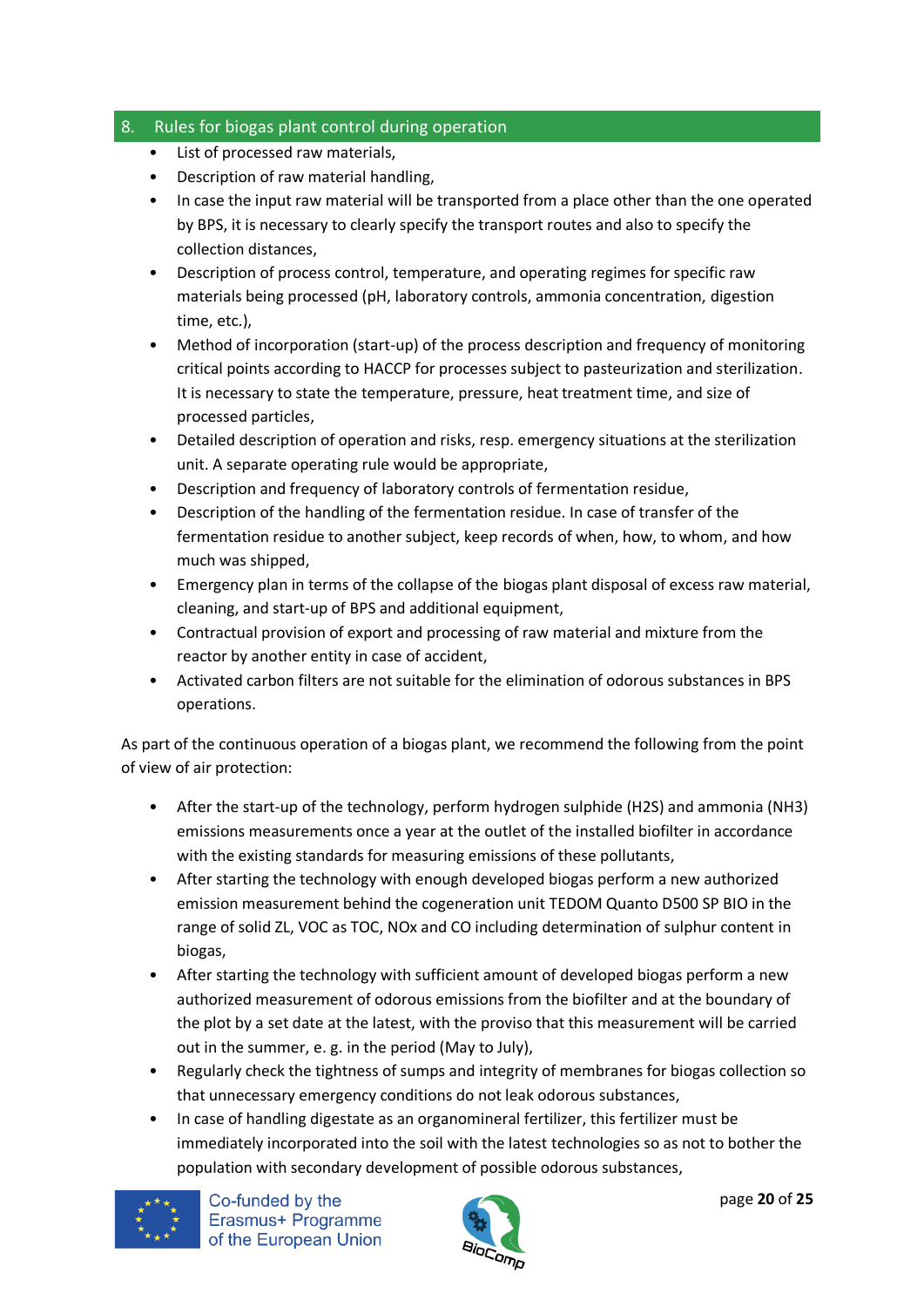## <span id="page-19-0"></span>8. Rules for biogas plant control during operation

- List of processed raw materials,
- Description of raw material handling,
- In case the input raw material will be transported from a place other than the one operated by BPS, it is necessary to clearly specify the transport routes and also to specify the collection distances,
- Description of process control, temperature, and operating regimes for specific raw materials being processed (pH, laboratory controls, ammonia concentration, digestion time, etc.),
- Method of incorporation (start-up) of the process description and frequency of monitoring critical points according to HACCP for processes subject to pasteurization and sterilization. It is necessary to state the temperature, pressure, heat treatment time, and size of processed particles,
- Detailed description of operation and risks, resp. emergency situations at the sterilization unit. A separate operating rule would be appropriate,
- Description and frequency of laboratory controls of fermentation residue,
- Description of the handling of the fermentation residue. In case of transfer of the fermentation residue to another subject, keep records of when, how, to whom, and how much was shipped,
- Emergency plan in terms of the collapse of the biogas plant disposal of excess raw material, cleaning, and start-up of BPS and additional equipment,
- Contractual provision of export and processing of raw material and mixture from the reactor by another entity in case of accident,
- Activated carbon filters are not suitable for the elimination of odorous substances in BPS operations.

As part of the continuous operation of a biogas plant, we recommend the following from the point of view of air protection:

- After the start-up of the technology, perform hydrogen sulphide (H2S) and ammonia (NH3) emissions measurements once a year at the outlet of the installed biofilter in accordance with the existing standards for measuring emissions of these pollutants,
- After starting the technology with enough developed biogas perform a new authorized emission measurement behind the cogeneration unit TEDOM Quanto D500 SP BIO in the range of solid ZL, VOC as TOC, NOx and CO including determination of sulphur content in biogas,
- After starting the technology with sufficient amount of developed biogas perform a new authorized measurement of odorous emissions from the biofilter and at the boundary of the plot by a set date at the latest, with the proviso that this measurement will be carried out in the summer, e. g. in the period (May to July),
- Regularly check the tightness of sumps and integrity of membranes for biogas collection so that unnecessary emergency conditions do not leak odorous substances,
- In case of handling digestate as an organomineral fertilizer, this fertilizer must be immediately incorporated into the soil with the latest technologies so as not to bother the population with secondary development of possible odorous substances,



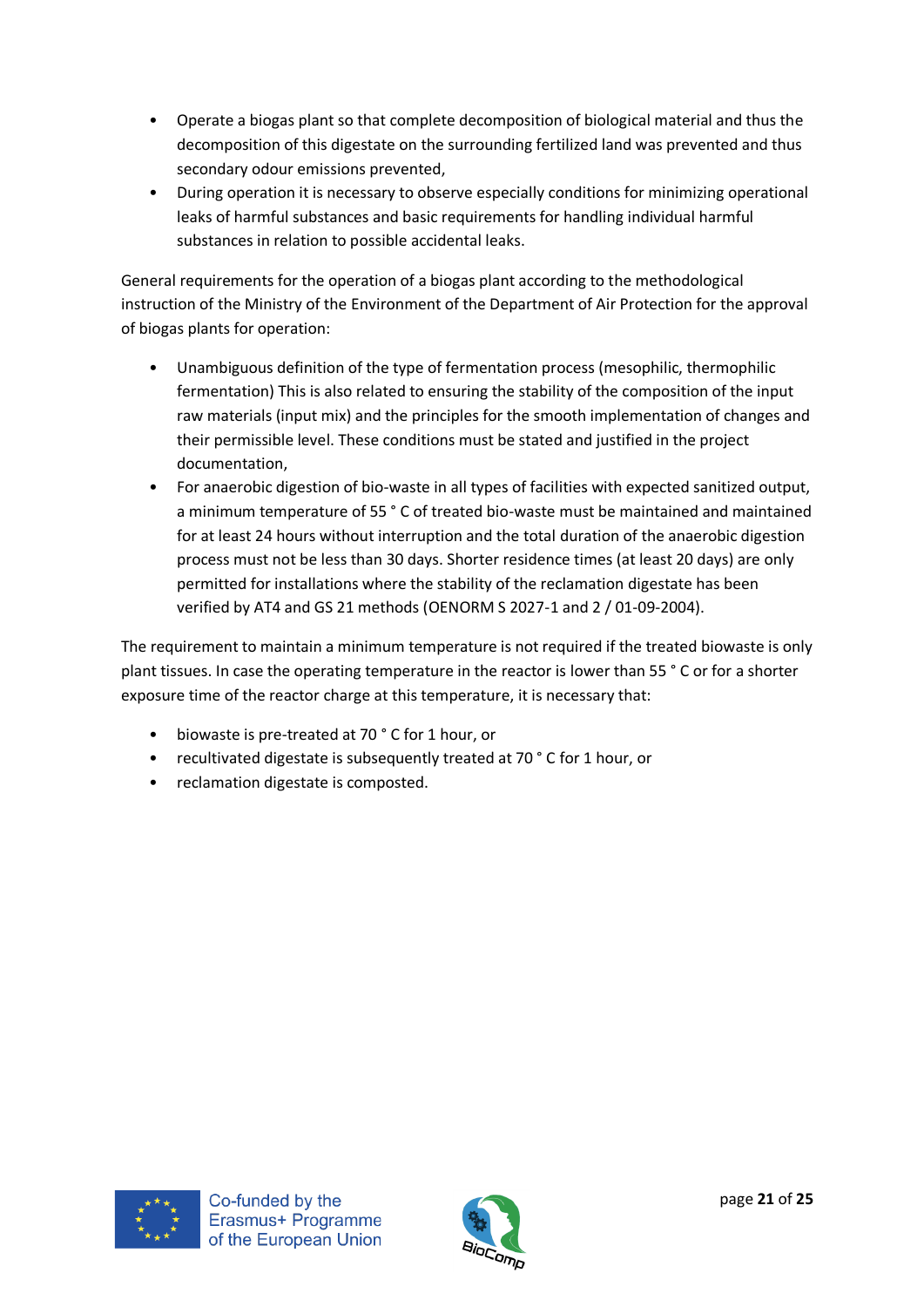- Operate a biogas plant so that complete decomposition of biological material and thus the decomposition of this digestate on the surrounding fertilized land was prevented and thus secondary odour emissions prevented,
- During operation it is necessary to observe especially conditions for minimizing operational leaks of harmful substances and basic requirements for handling individual harmful substances in relation to possible accidental leaks.

General requirements for the operation of a biogas plant according to the methodological instruction of the Ministry of the Environment of the Department of Air Protection for the approval of biogas plants for operation:

- Unambiguous definition of the type of fermentation process (mesophilic, thermophilic fermentation) This is also related to ensuring the stability of the composition of the input raw materials (input mix) and the principles for the smooth implementation of changes and their permissible level. These conditions must be stated and justified in the project documentation,
- For anaerobic digestion of bio-waste in all types of facilities with expected sanitized output, a minimum temperature of 55 ° C of treated bio-waste must be maintained and maintained for at least 24 hours without interruption and the total duration of the anaerobic digestion process must not be less than 30 days. Shorter residence times (at least 20 days) are only permitted for installations where the stability of the reclamation digestate has been verified by AT4 and GS 21 methods (OENORM S 2027-1 and 2 / 01-09-2004).

The requirement to maintain a minimum temperature is not required if the treated biowaste is only plant tissues. In case the operating temperature in the reactor is lower than 55 ° C or for a shorter exposure time of the reactor charge at this temperature, it is necessary that:

- biowaste is pre-treated at 70 ° C for 1 hour, or
- recultivated digestate is subsequently treated at 70 ° C for 1 hour, or
- reclamation digestate is composted.



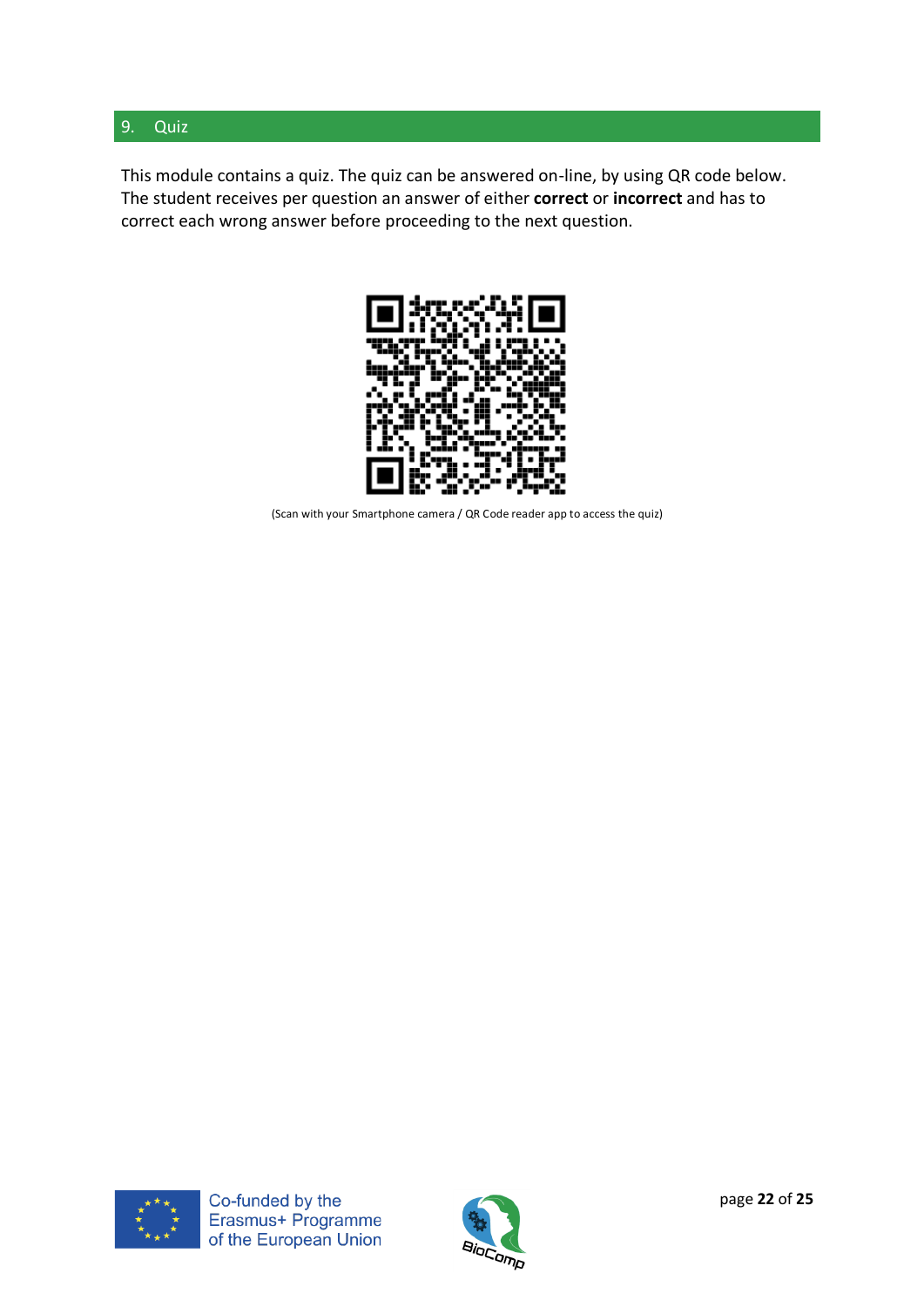## <span id="page-21-0"></span>9. Quiz

This module contains a quiz. The quiz can be answered on-line, by using QR code below. The student receives per question an answer of either **correct** or **incorrect** and has to correct each wrong answer before proceeding to the next question.



(Scan with your Smartphone camera / QR Code reader app to access the quiz)



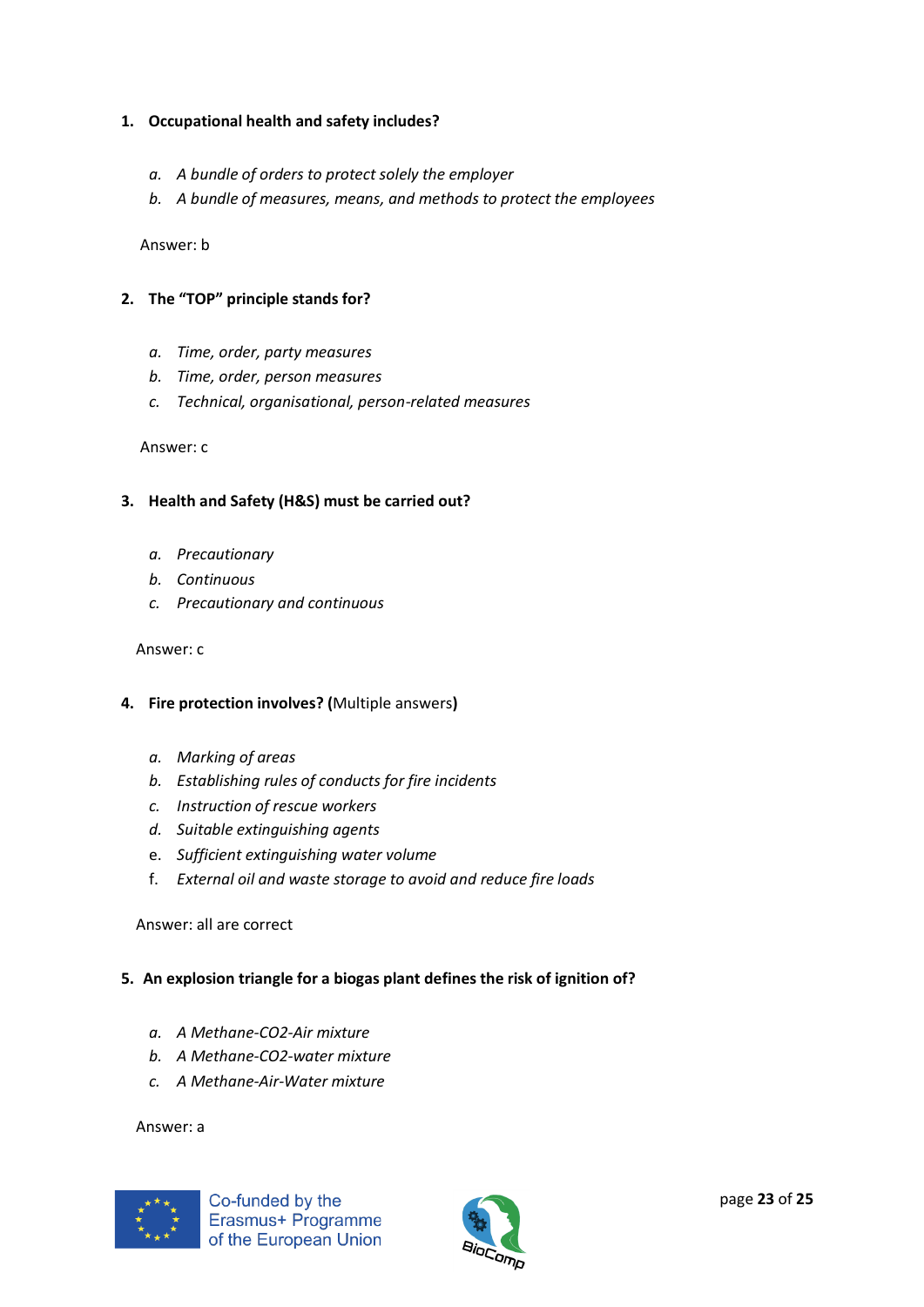## **1. Occupational health and safety includes?**

- *a. A bundle of orders to protect solely the employer*
- *b. A bundle of measures, means, and methods to protect the employees*

Answer: b

- **2. The "TOP" principle stands for?**
	- *a. Time, order, party measures*
	- *b. Time, order, person measures*
	- *c. Technical, organisational, person-related measures*

#### Answer: c

#### **3. Health and Safety (H&S) must be carried out?**

- *a. Precautionary*
- *b. Continuous*
- *c. Precautionary and continuous*

#### Answer: c

#### **4. Fire protection involves? (**Multiple answers**)**

- *a. Marking of areas*
- *b. Establishing rules of conducts for fire incidents*
- *c. Instruction of rescue workers*
- *d. Suitable extinguishing agents*
- e. *Sufficient extinguishing water volume*
- f. *External oil and waste storage to avoid and reduce fire loads*

#### Answer: all are correct

## **5. An explosion triangle for a biogas plant defines the risk of ignition of?**

- *a. A Methane-CO2-Air mixture*
- *b. A Methane-CO2-water mixture*
- *c. A Methane-Air-Water mixture*

#### Answer: a



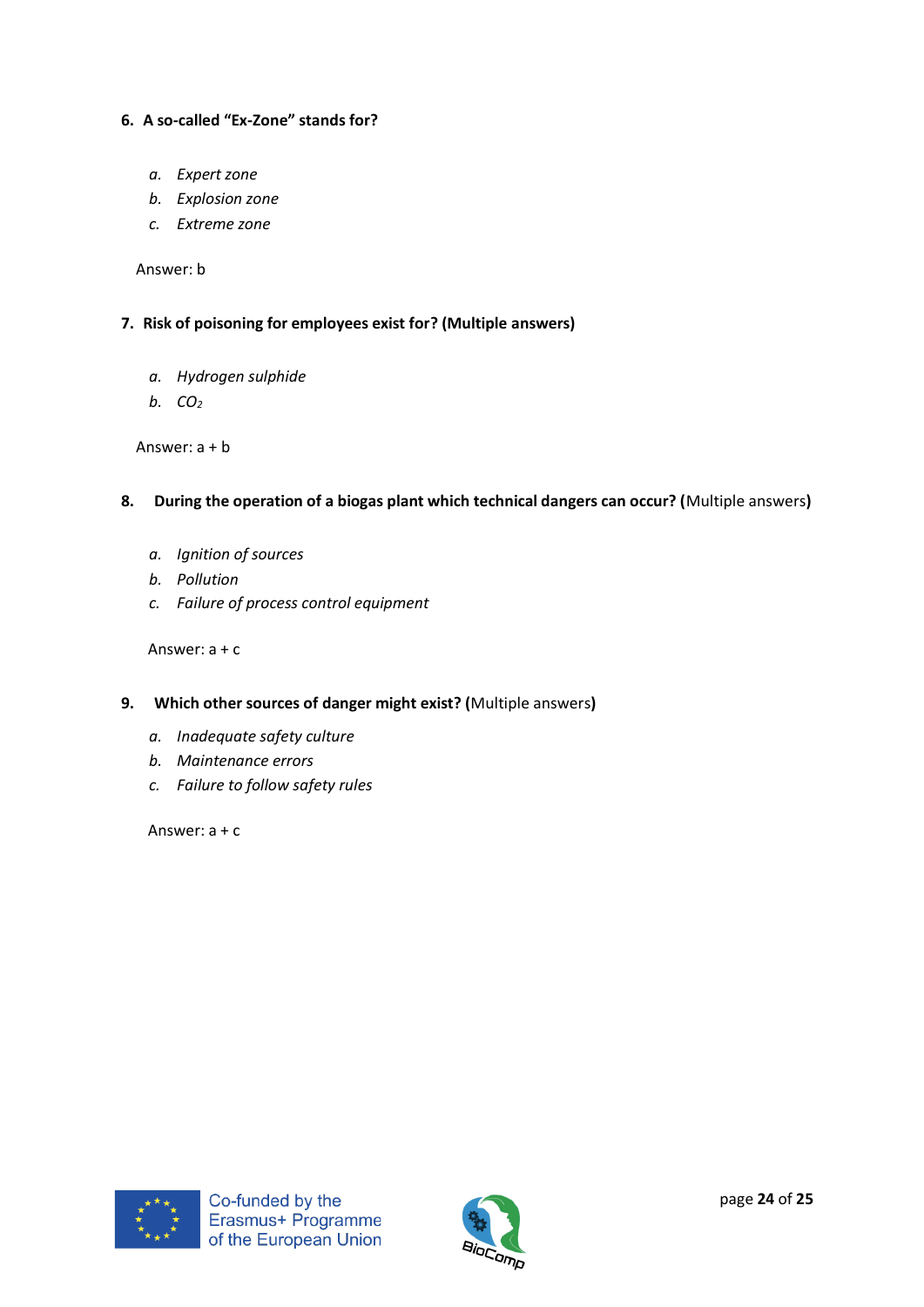## **6. A so-called "Ex-Zone" stands for?**

- *a. Expert zone*
- *b. Explosion zone*
- *c. Extreme zone*

Answer: b

#### **7. Risk of poisoning for employees exist for? (Multiple answers)**

- *a. Hydrogen sulphide*
- *b. CO<sup>2</sup>*

Answer: a + b

- **8. During the operation of a biogas plant which technical dangers can occur? (**Multiple answers**)**
	- *a. Ignition of sources*
	- *b. Pollution*
	- *c. Failure of process control equipment*

Answer: a + c

- **9. Which other sources of danger might exist? (**Multiple answers**)**
	- *a. Inadequate safety culture*
	- *b. Maintenance errors*
	- *c. Failure to follow safety rules*

Answer: a + c